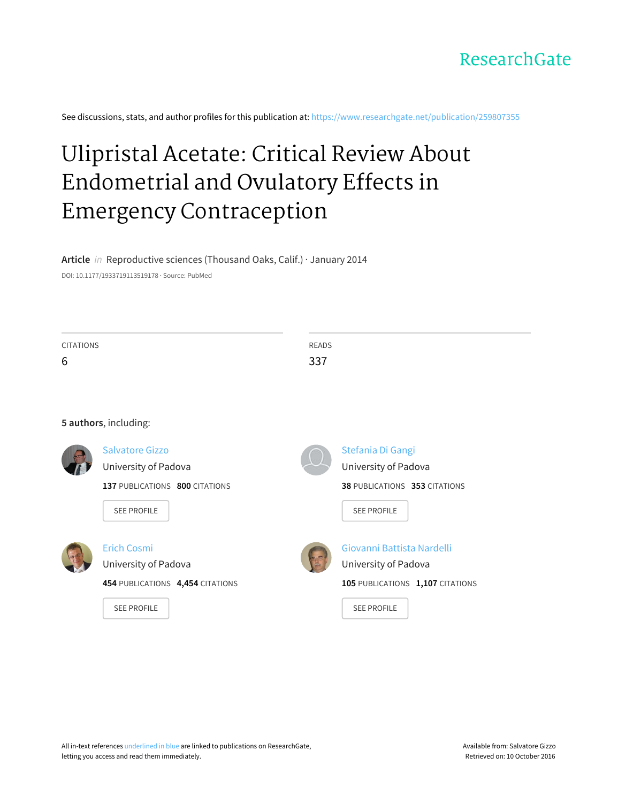

See discussions, stats, and author profiles for this publication at: [https://www.researchgate.net/publication/259807355](https://www.researchgate.net/publication/259807355_Ulipristal_Acetate_Critical_Review_About_Endometrial_and_Ovulatory_Effects_in_Emergency_Contraception?enrichId=rgreq-9294533ddc557a26d723c0fe72a52be4-XXX&enrichSource=Y292ZXJQYWdlOzI1OTgwNzM1NTtBUzoxNjM4NDg0NTE1MzQ4NDhAMTQxNjA3NTkyMzEyOA%3D%3D&el=1_x_2)

# Ulipristal Acetate: Critical Review About Endometrial and Ovulatory Effects in Emergency [Contraception](https://www.researchgate.net/publication/259807355_Ulipristal_Acetate_Critical_Review_About_Endometrial_and_Ovulatory_Effects_in_Emergency_Contraception?enrichId=rgreq-9294533ddc557a26d723c0fe72a52be4-XXX&enrichSource=Y292ZXJQYWdlOzI1OTgwNzM1NTtBUzoxNjM4NDg0NTE1MzQ4NDhAMTQxNjA3NTkyMzEyOA%3D%3D&el=1_x_3)

**Article** in Reproductive sciences (Thousand Oaks, Calif.) · January 2014 DOI: 10.1177/1933719113519178 · Source: PubMed

| <b>CITATIONS</b> |                                  | <b>READS</b> |                                  |
|------------------|----------------------------------|--------------|----------------------------------|
| 6                |                                  | 337          |                                  |
|                  |                                  |              |                                  |
|                  | 5 authors, including:            |              |                                  |
|                  | <b>Salvatore Gizzo</b>           |              | Stefania Di Gangi                |
|                  | University of Padova             |              | University of Padova             |
|                  | 137 PUBLICATIONS 800 CITATIONS   |              | 38 PUBLICATIONS 353 CITATIONS    |
|                  | <b>SEE PROFILE</b>               |              | <b>SEE PROFILE</b>               |
|                  | <b>Erich Cosmi</b>               |              | Giovanni Battista Nardelli       |
|                  | University of Padova             |              | University of Padova             |
|                  | 454 PUBLICATIONS 4,454 CITATIONS |              | 105 PUBLICATIONS 1,107 CITATIONS |
|                  | <b>SEE PROFILE</b>               |              | <b>SEE PROFILE</b>               |
|                  |                                  |              |                                  |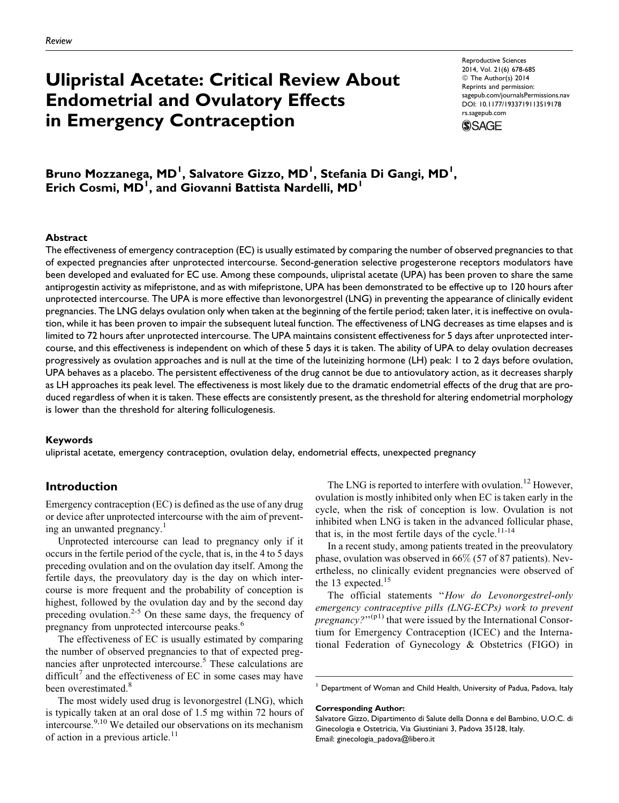## Ulipristal Acetate: Critical Review About Endometrial and Ovulatory Effects in Emergency Contraception

Reproductive Sciences 2014, Vol. 21(6) 678-685 © The Author(s) 2014 Reprints and permission: [sagepub.com/journalsPermissions.nav](http://www.sagepub.com/journalsPermissions.nav) DOI: 10.1177/1933719113519178 [rs.sagepub.com](http://rs.sagepub.com)



### Bruno Mozzanega, MD<sup>I</sup>, Salvatore Gizzo, MD<sup>I</sup>, Stefania Di Gangi, MD<sup>I</sup>, Erich Cosmi, MD<sup>1</sup>, and Giovanni Battista Nardelli, MD<sup>1</sup>

#### Abstract

The effectiveness of emergency contraception (EC) is usually estimated by comparing the number of observed pregnancies to that of expected pregnancies after unprotected intercourse. Second-generation selective progesterone receptors modulators have been developed and evaluated for EC use. Among these compounds, ulipristal acetate (UPA) has been proven to share the same antiprogestin activity as mifepristone, and as with mifepristone, UPA has been demonstrated to be effective up to 120 hours after unprotected intercourse. The UPA is more effective than levonorgestrel (LNG) in preventing the appearance of clinically evident pregnancies. The LNG delays ovulation only when taken at the beginning of the fertile period; taken later, it is ineffective on ovulation, while it has been proven to impair the subsequent luteal function. The effectiveness of LNG decreases as time elapses and is limited to 72 hours after unprotected intercourse. The UPA maintains consistent effectiveness for 5 days after unprotected intercourse, and this effectiveness is independent on which of these 5 days it is taken. The ability of UPA to delay ovulation decreases progressively as ovulation approaches and is null at the time of the luteinizing hormone (LH) peak: 1 to 2 days before ovulation, UPA behaves as a placebo. The persistent effectiveness of the drug cannot be due to antiovulatory action, as it decreases sharply as LH approaches its peak level. The effectiveness is most likely due to the dramatic endometrial effects of the drug that are produced regardless of when it is taken. These effects are consistently present, as the threshold for altering endometrial morphology is lower than the threshold for altering folliculogenesis.

#### Keywords

ulipristal acetate, emergency contraception, ovulation delay, endometrial effects, unexpected pregnancy

#### Introduction

Emergency contraception (EC) is defined as the use of any drug or device after unprotected intercourse with the aim of preventing an unwanted pregnancy.<sup>1</sup>

Unprotected intercourse can lead to pregnancy only if it occurs in the fertile period of the cycle, that is, in the 4 to 5 days preceding ovulation and on the ovulation day itself. Among the fertile days, the preovulatory day is the day on which intercourse is more frequent and the probability of conception is highest, followed by the ovulation day and by the second day preceding ovulation.<sup>2-5</sup> On these same days, the frequency of pregnancy from unprotected intercourse peaks.<sup>6</sup>

The effectiveness of EC is usually estimated by comparing the number of observed pregnancies to that of expected pregnancies after unprotected intercourse.<sup>5</sup> These calculations are difficult<sup>7</sup> and the effectiveness of EC in some cases may have been overestimated.<sup>8</sup>

The most widely used drug is levonorgestrel (LNG), which is typically taken at an oral dose of 1.5 mg within 72 hours of intercourse.<sup>9,10</sup> We detailed our observations on its mechanism of action in a previous article.<sup>11</sup>

The LNG is reported to interfere with ovulation.<sup>12</sup> However, ovulation is mostly inhibited only when EC is taken early in the cycle, when the risk of conception is low. Ovulation is not inhibited when LNG is taken in the advanced follicular phase, that is, in the most fertile days of the cycle. $11-14$ 

In a recent study, among patients treated in the preovulatory phase, ovulation was observed in 66% (57 of 87 patients). Nevertheless, no clinically evident pregnancies were observed of the 13 expected.<sup>15</sup>

The official statements "How do Levonorgestrel-only emergency contraceptive pills (LNG-ECPs) work to prevent *pregnancy*?" $(p_1)$  that were issued by the International Consortium for Emergency Contraception (ICEC) and the International Federation of Gynecology & Obstetrics (FIGO) in

<sup>&</sup>lt;sup>1</sup> Department of Woman and Child Health, University of Padua, Padova, Italy

Corresponding Author:

Salvatore Gizzo, Dipartimento di Salute della Donna e del Bambino, U.O.C. di Ginecologia e Ostetricia, Via Giustiniani 3, Padova 35128, Italy. Email: ginecologia\_padova@libero.it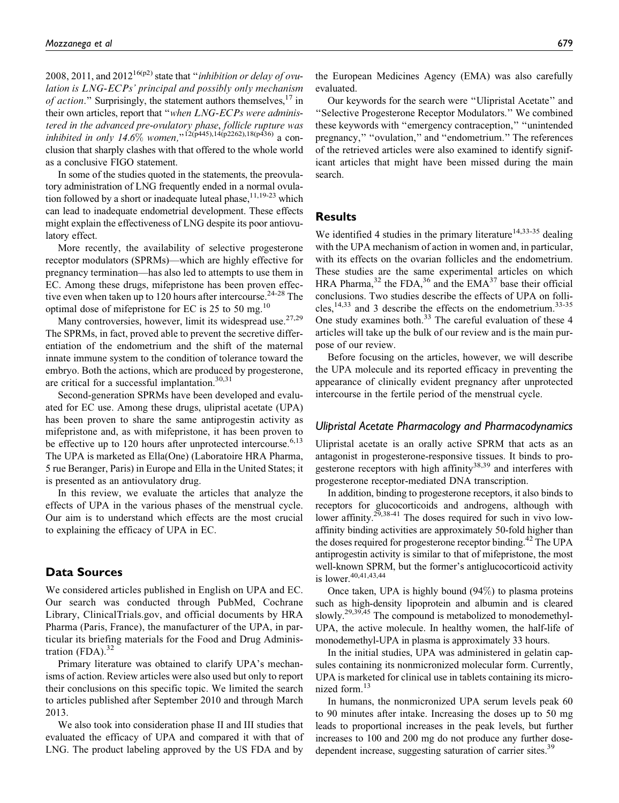2008, 2011, and 2012<sup>16(p2)</sup> state that "*inhibition or delay of ovu*lation is LNG-ECPs' principal and possibly only mechanism of action." Surprisingly, the statement authors themselves,  $17$  in their own articles, report that "when LNG-ECPs were administered in the advanced pre-ovulatory phase, follicle rupture was inhibited in only 14.6% women,"<sup>12(p445),14(p2262),18(p436)</sup> a conclusion that sharply clashes with that offered to the whole world as a conclusive FIGO statement.

In some of the studies quoted in the statements, the preovulatory administration of LNG frequently ended in a normal ovulation followed by a short or inadequate luteal phase,  $11,19-23$  which can lead to inadequate endometrial development. These effects might explain the effectiveness of LNG despite its poor antiovulatory effect.

More recently, the availability of selective progesterone receptor modulators (SPRMs)—which are highly effective for pregnancy termination—has also led to attempts to use them in EC. Among these drugs, mifepristone has been proven effective even when taken up to 120 hours after intercourse.  $24-28$  The optimal dose of mifepristone for EC is 25 to 50 mg.<sup>10</sup>

Many controversies, however, limit its widespread use.<sup>27,29</sup> The SPRMs, in fact, proved able to prevent the secretive differentiation of the endometrium and the shift of the maternal innate immune system to the condition of tolerance toward the embryo. Both the actions, which are produced by progesterone, are critical for a successful implantation. $30,31$ 

Second-generation SPRMs have been developed and evaluated for EC use. Among these drugs, ulipristal acetate (UPA) has been proven to share the same antiprogestin activity as mifepristone and, as with mifepristone, it has been proven to be effective up to 120 hours after unprotected intercourse.<sup>6,13</sup> The UPA is marketed as Ella(One) (Laboratoire HRA Pharma, 5 rue Beranger, Paris) in Europe and Ella in the United States; it is presented as an antiovulatory drug.

In this review, we evaluate the articles that analyze the effects of UPA in the various phases of the menstrual cycle. Our aim is to understand which effects are the most crucial to explaining the efficacy of UPA in EC.

#### Data Sources

We considered articles published in English on UPA and EC. Our search was conducted through PubMed, Cochrane Library, ClinicalTrials.gov, and official documents by HRA Pharma (Paris, France), the manufacturer of the UPA, in particular its briefing materials for the Food and Drug Administration  $(FDA)$ .<sup>32</sup>

Primary literature was obtained to clarify UPA's mechanisms of action. Review articles were also used but only to report their conclusions on this specific topic. We limited the search to articles published after September 2010 and through March 2013.

We also took into consideration phase II and III studies that evaluated the efficacy of UPA and compared it with that of LNG. The product labeling approved by the US FDA and by

the European Medicines Agency (EMA) was also carefully evaluated.

Our keywords for the search were ''Ulipristal Acetate'' and ''Selective Progesterone Receptor Modulators.'' We combined these keywords with ''emergency contraception,'' ''unintended pregnancy," "ovulation," and "endometrium." The references of the retrieved articles were also examined to identify significant articles that might have been missed during the main search.

#### **Results**

We identified 4 studies in the primary literature<sup>14,33-35</sup> dealing with the UPA mechanism of action in women and, in particular, with its effects on the ovarian follicles and the endometrium. These studies are the same experimental articles on which HRA Pharma,<sup>32</sup> the FDA,<sup>36</sup> and the EMA<sup>37</sup> base their official conclusions. Two studies describe the effects of UPA on follicles,<sup>14,33</sup> and 3 describe the effects on the endometrium.<sup>33-35</sup> One study examines both.<sup>33</sup> The careful evaluation of these 4 articles will take up the bulk of our review and is the main purpose of our review.

Before focusing on the articles, however, we will describe the UPA molecule and its reported efficacy in preventing the appearance of clinically evident pregnancy after unprotected intercourse in the fertile period of the menstrual cycle.

#### Ulipristal Acetate Pharmacology and Pharmacodynamics

Ulipristal acetate is an orally active SPRM that acts as an antagonist in progesterone-responsive tissues. It binds to progesterone receptors with high affinity<sup>38,39</sup> and interferes with progesterone receptor-mediated DNA transcription.

In addition, binding to progesterone receptors, it also binds to receptors for glucocorticoids and androgens, although with lower affinity.<sup>29,38-41</sup> The doses required for such in vivo lowaffinity binding activities are approximately 50-fold higher than the doses required for progesterone receptor binding.<sup>42</sup> The UPA antiprogestin activity is similar to that of mifepristone, the most well-known SPRM, but the former's antiglucocorticoid activity is lower.<sup>40,41,43,44</sup>

Once taken, UPA is highly bound (94%) to plasma proteins such as high-density lipoprotein and albumin and is cleared slowly.<sup>29,39,45</sup> The compound is metabolized to monodemethyl-UPA, the active molecule. In healthy women, the half-life of monodemethyl-UPA in plasma is approximately 33 hours.

In the initial studies, UPA was administered in gelatin capsules containing its nonmicronized molecular form. Currently, UPA is marketed for clinical use in tablets containing its micronized form.13

In humans, the nonmicronized UPA serum levels peak 60 to 90 minutes after intake. Increasing the doses up to 50 mg leads to proportional increases in the peak levels, but further increases to 100 and 200 mg do not produce any further dosedependent increase, suggesting saturation of carrier sites.<sup>39</sup>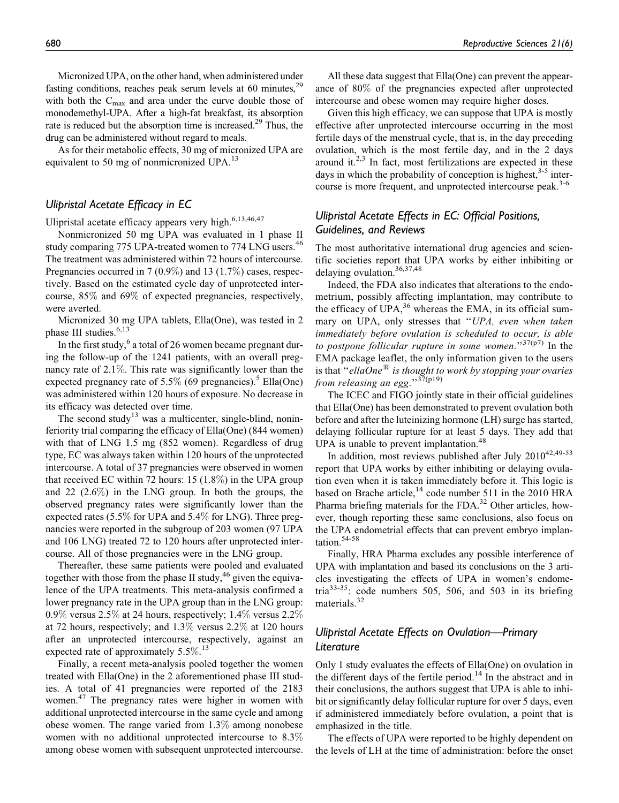As for their metabolic effects, 30 mg of micronized UPA are equivalent to 50 mg of nonmicronized UPA. $^{13}$ 

#### Ulipristal Acetate Efficacy in EC

Ulipristal acetate efficacy appears very high.<sup>6,13,46,47</sup>

Nonmicronized 50 mg UPA was evaluated in 1 phase II study comparing 775 UPA-treated women to 774 LNG users.<sup>46</sup> The treatment was administered within 72 hours of intercourse. Pregnancies occurred in 7 (0.9%) and 13 (1.7%) cases, respectively. Based on the estimated cycle day of unprotected intercourse, 85% and 69% of expected pregnancies, respectively, were averted.

Micronized 30 mg UPA tablets, Ella(One), was tested in 2 phase III studies.<sup>6,13</sup>

In the first study, $6$  a total of 26 women became pregnant during the follow-up of the 1241 patients, with an overall pregnancy rate of 2.1%. This rate was significantly lower than the expected pregnancy rate of 5.5% (69 pregnancies).<sup>5</sup> Ella(One) was administered within 120 hours of exposure. No decrease in its efficacy was detected over time.

The second study<sup>13</sup> was a multicenter, single-blind, noninferiority trial comparing the efficacy of Ella(One) (844 women) with that of LNG 1.5 mg (852 women). Regardless of drug type, EC was always taken within 120 hours of the unprotected intercourse. A total of 37 pregnancies were observed in women that received EC within 72 hours: 15 (1.8%) in the UPA group and 22 (2.6%) in the LNG group. In both the groups, the observed pregnancy rates were significantly lower than the expected rates (5.5% for UPA and 5.4% for LNG). Three pregnancies were reported in the subgroup of 203 women (97 UPA and 106 LNG) treated 72 to 120 hours after unprotected intercourse. All of those pregnancies were in the LNG group.

Thereafter, these same patients were pooled and evaluated together with those from the phase II study,<sup>46</sup> given the equivalence of the UPA treatments. This meta-analysis confirmed a lower pregnancy rate in the UPA group than in the LNG group: 0.9% versus 2.5% at 24 hours, respectively;  $1.4\%$  versus 2.2% at 72 hours, respectively; and 1.3% versus 2.2% at 120 hours after an unprotected intercourse, respectively, against an expected rate of approximately 5.5%.<sup>13</sup>

Finally, a recent meta-analysis pooled together the women treated with Ella(One) in the 2 aforementioned phase III studies. A total of 41 pregnancies were reported of the 2183 women.<sup>47</sup> The pregnancy rates were higher in women with additional unprotected intercourse in the same cycle and among obese women. The range varied from 1.3% among nonobese women with no additional unprotected intercourse to 8.3% among obese women with subsequent unprotected intercourse.

All these data suggest that Ella(One) can prevent the appearance of 80% of the pregnancies expected after unprotected intercourse and obese women may require higher doses.

Given this high efficacy, we can suppose that UPA is mostly effective after unprotected intercourse occurring in the most fertile days of the menstrual cycle, that is, in the day preceding ovulation, which is the most fertile day, and in the 2 days around it. $2,3$  In fact, most fertilizations are expected in these days in which the probability of conception is highest,  $3-5$  intercourse is more frequent, and unprotected intercourse peak.<sup>3-6</sup>

#### Ulipristal Acetate Effects in EC: Official Positions, Guidelines, and Reviews

The most authoritative international drug agencies and scientific societies report that UPA works by either inhibiting or delaying ovulation.<sup>36,37,48</sup>

Indeed, the FDA also indicates that alterations to the endometrium, possibly affecting implantation, may contribute to the efficacy of  $UPA<sup>36</sup>$  whereas the EMA, in its official summary on UPA, only stresses that "UPA, even when taken immediately before ovulation is scheduled to occur, is able to postpone follicular rupture in some women."<sup>37(p7)</sup> In the EMA package leaflet, the only information given to the users is that "ellaOne $^{(8)}$  is thought to work by stopping your ovaries from releasing an egg." $37(p19)$ 

The ICEC and FIGO jointly state in their official guidelines that Ella(One) has been demonstrated to prevent ovulation both before and after the luteinizing hormone (LH) surge has started, delaying follicular rupture for at least 5 days. They add that UPA is unable to prevent implantation.<sup>48</sup>

In addition, most reviews published after July  $2010^{42,49-53}$ report that UPA works by either inhibiting or delaying ovulation even when it is taken immediately before it. This logic is based on Brache article,<sup>14</sup> code number 511 in the 2010 HRA Pharma briefing materials for the FDA. $32$  Other articles, however, though reporting these same conclusions, also focus on the UPA endometrial effects that can prevent embryo implantation.<sup>54-58</sup>

Finally, HRA Pharma excludes any possible interference of UPA with implantation and based its conclusions on the 3 articles investigating the effects of UPA in women's endometria $33-35$ : code numbers 505, 506, and 503 in its briefing materials.<sup>32</sup>

#### Ulipristal Acetate Effects on Ovulation—Primary Literature

Only 1 study evaluates the effects of Ella(One) on ovulation in the different days of the fertile period.<sup>14</sup> In the abstract and in their conclusions, the authors suggest that UPA is able to inhibit or significantly delay follicular rupture for over 5 days, even if administered immediately before ovulation, a point that is emphasized in the title.

The effects of UPA were reported to be highly dependent on the levels of LH at the time of administration: before the onset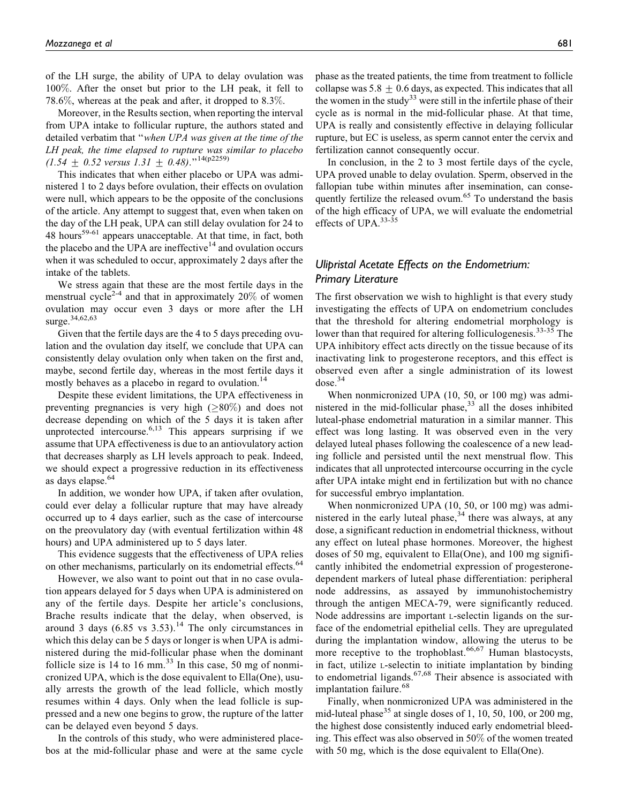of the LH surge, the ability of UPA to delay ovulation was 100%. After the onset but prior to the LH peak, it fell to 78.6%, whereas at the peak and after, it dropped to 8.3%.

Moreover, in the Results section, when reporting the interval from UPA intake to follicular rupture, the authors stated and detailed verbatim that ''when UPA was given at the time of the LH peak, the time elapsed to rupture was similar to placebo  $(1.54 \pm 0.52 \text{ versus } 1.31 \pm 0.48).$ <sup>''14(p2259)</sup>

This indicates that when either placebo or UPA was administered 1 to 2 days before ovulation, their effects on ovulation were null, which appears to be the opposite of the conclusions of the article. Any attempt to suggest that, even when taken on the day of the LH peak, UPA can still delay ovulation for 24 to 48 hours<sup>59-61</sup> appears unacceptable. At that time, in fact, both the placebo and the UPA are ineffective $14$  and ovulation occurs when it was scheduled to occur, approximately 2 days after the intake of the tablets.

We stress again that these are the most fertile days in the menstrual cycle<sup>2-4</sup> and that in approximately  $20\%$  of women ovulation may occur even 3 days or more after the LH surge.34,62,63

Given that the fertile days are the 4 to 5 days preceding ovulation and the ovulation day itself, we conclude that UPA can consistently delay ovulation only when taken on the first and, maybe, second fertile day, whereas in the most fertile days it mostly behaves as a placebo in regard to ovulation.<sup>14</sup>

Despite these evident limitations, the UPA effectiveness in preventing pregnancies is very high  $(\geq 80\%)$  and does not decrease depending on which of the 5 days it is taken after unprotected intercourse.  $6,13$  This appears surprising if we assume that UPA effectiveness is due to an antiovulatory action that decreases sharply as LH levels approach to peak. Indeed, we should expect a progressive reduction in its effectiveness as days elapse.<sup>64</sup>

In addition, we wonder how UPA, if taken after ovulation, could ever delay a follicular rupture that may have already occurred up to 4 days earlier, such as the case of intercourse on the preovulatory day (with eventual fertilization within 48 hours) and UPA administered up to 5 days later.

This evidence suggests that the effectiveness of UPA relies on other mechanisms, particularly on its endometrial effects.<sup>64</sup>

However, we also want to point out that in no case ovulation appears delayed for 5 days when UPA is administered on any of the fertile days. Despite her article's conclusions, Brache results indicate that the delay, when observed, is around 3 days  $(6.85 \text{ vs } 3.53)$ .<sup>14</sup> The only circumstances in which this delay can be 5 days or longer is when UPA is administered during the mid-follicular phase when the dominant follicle size is  $14$  to  $16$  mm.<sup>33</sup> In this case, 50 mg of nonmicronized UPA, which is the dose equivalent to Ella(One), usually arrests the growth of the lead follicle, which mostly resumes within 4 days. Only when the lead follicle is suppressed and a new one begins to grow, the rupture of the latter can be delayed even beyond 5 days.

In the controls of this study, who were administered placebos at the mid-follicular phase and were at the same cycle

phase as the treated patients, the time from treatment to follicle collapse was  $5.8 \pm 0.6$  days, as expected. This indicates that all the women in the study<sup>33</sup> were still in the infertile phase of their cycle as is normal in the mid-follicular phase. At that time, UPA is really and consistently effective in delaying follicular rupture, but EC is useless, as sperm cannot enter the cervix and fertilization cannot consequently occur.

In conclusion, in the 2 to 3 most fertile days of the cycle, UPA proved unable to delay ovulation. Sperm, observed in the fallopian tube within minutes after insemination, can consequently fertilize the released ovum.<sup>65</sup> To understand the basis of the high efficacy of UPA, we will evaluate the endometrial effects of UPA.<sup>33-35</sup>

#### Ulipristal Acetate Effects on the Endometrium: Primary Literature

The first observation we wish to highlight is that every study investigating the effects of UPA on endometrium concludes that the threshold for altering endometrial morphology is lower than that required for altering folliculogenesis.<sup>33-35</sup> The UPA inhibitory effect acts directly on the tissue because of its inactivating link to progesterone receptors, and this effect is observed even after a single administration of its lowest  $dose.<sup>34</sup>$ 

When nonmicronized UPA (10, 50, or 100 mg) was administered in the mid-follicular phase, $33$  all the doses inhibited luteal-phase endometrial maturation in a similar manner. This effect was long lasting. It was observed even in the very delayed luteal phases following the coalescence of a new leading follicle and persisted until the next menstrual flow. This indicates that all unprotected intercourse occurring in the cycle after UPA intake might end in fertilization but with no chance for successful embryo implantation.

When nonmicronized UPA (10, 50, or 100 mg) was administered in the early luteal phase,  $34$  there was always, at any dose, a significant reduction in endometrial thickness, without any effect on luteal phase hormones. Moreover, the highest doses of 50 mg, equivalent to Ella(One), and 100 mg significantly inhibited the endometrial expression of progesteronedependent markers of luteal phase differentiation: peripheral node addressins, as assayed by immunohistochemistry through the antigen MECA-79, were significantly reduced. Node addressins are important L-selectin ligands on the surface of the endometrial epithelial cells. They are upregulated during the implantation window, allowing the uterus to be more receptive to the trophoblast.<sup>66,67</sup> Human blastocysts, in fact, utilize L-selectin to initiate implantation by binding to endometrial ligands. $67,68$  Their absence is associated with implantation failure.<sup>68</sup>

Finally, when nonmicronized UPA was administered in the mid-luteal phase<sup>35</sup> at single doses of 1, 10, 50, 100, or 200 mg, the highest dose consistently induced early endometrial bleeding. This effect was also observed in 50% of the women treated with 50 mg, which is the dose equivalent to Ella(One).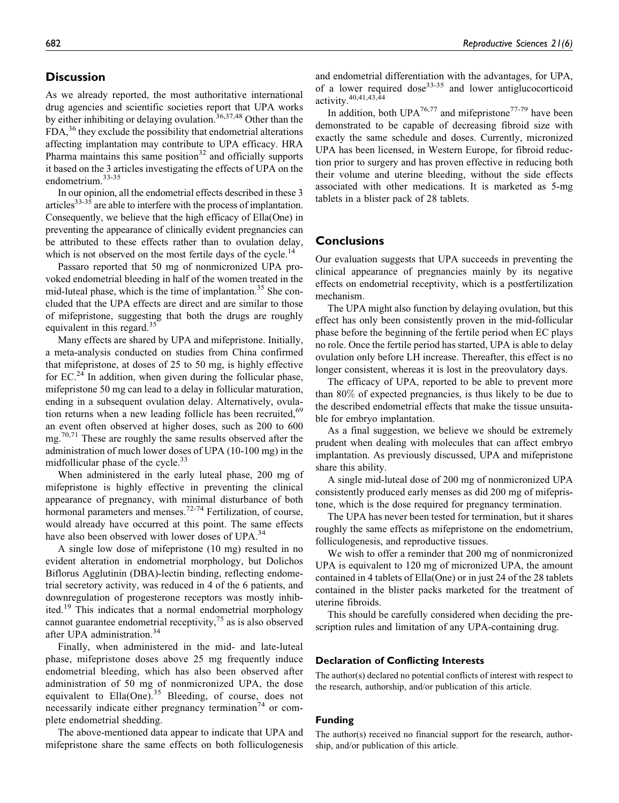#### **Discussion**

As we already reported, the most authoritative international drug agencies and scientific societies report that UPA works by either inhibiting or delaying ovulation.<sup>36,37,48</sup> Other than the  $FDA<sup>36</sup>$ , they exclude the possibility that endometrial alterations affecting implantation may contribute to UPA efficacy. HRA Pharma maintains this same position $32$  and officially supports it based on the 3 articles investigating the effects of UPA on the endometrium.<sup>33-35</sup>

In our opinion, all the endometrial effects described in these 3 articles $33-35$  are able to interfere with the process of implantation. Consequently, we believe that the high efficacy of Ella(One) in preventing the appearance of clinically evident pregnancies can be attributed to these effects rather than to ovulation delay, which is not observed on the most fertile days of the cycle.<sup>14</sup>

Passaro reported that 50 mg of nonmicronized UPA provoked endometrial bleeding in half of the women treated in the mid-luteal phase, which is the time of implantation.<sup>35</sup> She concluded that the UPA effects are direct and are similar to those of mifepristone, suggesting that both the drugs are roughly equivalent in this regard. $35$ 

Many effects are shared by UPA and mifepristone. Initially, a meta-analysis conducted on studies from China confirmed that mifepristone, at doses of 25 to 50 mg, is highly effective for  $EC<sup>24</sup>$  In addition, when given during the follicular phase, mifepristone 50 mg can lead to a delay in follicular maturation, ending in a subsequent ovulation delay. Alternatively, ovulation returns when a new leading follicle has been recruited,<sup>69</sup> an event often observed at higher doses, such as 200 to 600 mg.<sup>70,71</sup> These are roughly the same results observed after the administration of much lower doses of UPA (10-100 mg) in the midfollicular phase of the cycle.<sup>33</sup>

When administered in the early luteal phase, 200 mg of mifepristone is highly effective in preventing the clinical appearance of pregnancy, with minimal disturbance of both hormonal parameters and menses.<sup>72-74</sup> Fertilization, of course, would already have occurred at this point. The same effects have also been observed with lower doses of UPA.<sup>34</sup>

A single low dose of mifepristone (10 mg) resulted in no evident alteration in endometrial morphology, but Dolichos Biflorus Agglutinin (DBA)-lectin binding, reflecting endometrial secretory activity, was reduced in 4 of the 6 patients, and downregulation of progesterone receptors was mostly inhibited.<sup>19</sup> This indicates that a normal endometrial morphology cannot guarantee endometrial receptivity,  $7<sup>5</sup>$  as is also observed after UPA administration.<sup>34</sup>

Finally, when administered in the mid- and late-luteal phase, mifepristone doses above 25 mg frequently induce endometrial bleeding, which has also been observed after administration of 50 mg of nonmicronized UPA, the dose equivalent to  $Ella(One)$ .<sup>35</sup> Bleeding, of course, does not necessarily indicate either pregnancy termination<sup>74</sup> or complete endometrial shedding.

The above-mentioned data appear to indicate that UPA and mifepristone share the same effects on both folliculogenesis

and endometrial differentiation with the advantages, for UPA, of a lower required dose<sup>33-35</sup> and lower antiglucocorticoid activity.<sup>40,41,43,44</sup>

In addition, both UPA<sup>76,77</sup> and mifepristone<sup>77-79</sup> have been demonstrated to be capable of decreasing fibroid size with exactly the same schedule and doses. Currently, micronized UPA has been licensed, in Western Europe, for fibroid reduction prior to surgery and has proven effective in reducing both their volume and uterine bleeding, without the side effects associated with other medications. It is marketed as 5-mg tablets in a blister pack of 28 tablets.

#### **Conclusions**

Our evaluation suggests that UPA succeeds in preventing the clinical appearance of pregnancies mainly by its negative effects on endometrial receptivity, which is a postfertilization mechanism.

The UPA might also function by delaying ovulation, but this effect has only been consistently proven in the mid-follicular phase before the beginning of the fertile period when EC plays no role. Once the fertile period has started, UPA is able to delay ovulation only before LH increase. Thereafter, this effect is no longer consistent, whereas it is lost in the preovulatory days.

The efficacy of UPA, reported to be able to prevent more than 80% of expected pregnancies, is thus likely to be due to the described endometrial effects that make the tissue unsuitable for embryo implantation.

As a final suggestion, we believe we should be extremely prudent when dealing with molecules that can affect embryo implantation. As previously discussed, UPA and mifepristone share this ability.

A single mid-luteal dose of 200 mg of nonmicronized UPA consistently produced early menses as did 200 mg of mifepristone, which is the dose required for pregnancy termination.

The UPA has never been tested for termination, but it shares roughly the same effects as mifepristone on the endometrium, folliculogenesis, and reproductive tissues.

We wish to offer a reminder that 200 mg of nonmicronized UPA is equivalent to 120 mg of micronized UPA, the amount contained in 4 tablets of Ella(One) or in just 24 of the 28 tablets contained in the blister packs marketed for the treatment of uterine fibroids.

This should be carefully considered when deciding the prescription rules and limitation of any UPA-containing drug.

#### Declaration of Conflicting Interests

The author(s) declared no potential conflicts of interest with respect to the research, authorship, and/or publication of this article.

#### Funding

The author(s) received no financial support for the research, authorship, and/or publication of this article.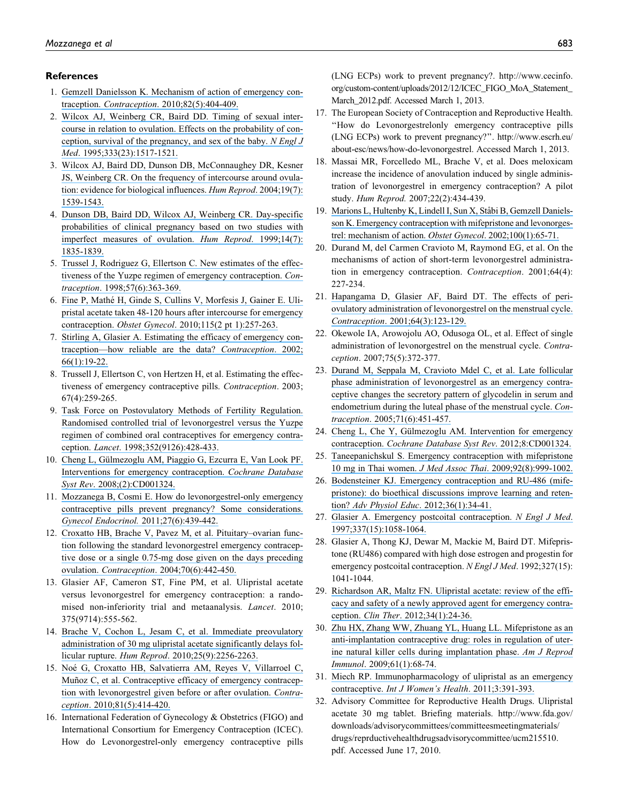#### References

- 1. [Gemzell Danielsson K. Mechanism of action of emergency con](https://www.researchgate.net/publication/47382334_Mechanism_of_action_of_emergency_contraception?el=1_x_8&enrichId=rgreq-9294533ddc557a26d723c0fe72a52be4-XXX&enrichSource=Y292ZXJQYWdlOzI1OTgwNzM1NTtBUzoxNjM4NDg0NTE1MzQ4NDhAMTQxNjA3NTkyMzEyOA==)traception. Contraception[. 2010;82\(5\):404-409.](https://www.researchgate.net/publication/47382334_Mechanism_of_action_of_emergency_contraception?el=1_x_8&enrichId=rgreq-9294533ddc557a26d723c0fe72a52be4-XXX&enrichSource=Y292ZXJQYWdlOzI1OTgwNzM1NTtBUzoxNjM4NDg0NTE1MzQ4NDhAMTQxNjA3NTkyMzEyOA==)
- 2. [Wilcox AJ, Weinberg CR, Baird DD. Timing of sexual inter](https://www.researchgate.net/publication/15722266_Timing_of_Sexual_Intercourse_in_Relation_to_Ovulation_-_Effects_on_the_Probability_of_Conception_Survival_of_the_Pregnancy_and_Sex_of_the_Baby?el=1_x_8&enrichId=rgreq-9294533ddc557a26d723c0fe72a52be4-XXX&enrichSource=Y292ZXJQYWdlOzI1OTgwNzM1NTtBUzoxNjM4NDg0NTE1MzQ4NDhAMTQxNjA3NTkyMzEyOA==)[course in relation to ovulation. Effects on the probability of con](https://www.researchgate.net/publication/15722266_Timing_of_Sexual_Intercourse_in_Relation_to_Ovulation_-_Effects_on_the_Probability_of_Conception_Survival_of_the_Pregnancy_and_Sex_of_the_Baby?el=1_x_8&enrichId=rgreq-9294533ddc557a26d723c0fe72a52be4-XXX&enrichSource=Y292ZXJQYWdlOzI1OTgwNzM1NTtBUzoxNjM4NDg0NTE1MzQ4NDhAMTQxNjA3NTkyMzEyOA==)[ception, survival of the pregnancy, and sex of the baby.](https://www.researchgate.net/publication/15722266_Timing_of_Sexual_Intercourse_in_Relation_to_Ovulation_-_Effects_on_the_Probability_of_Conception_Survival_of_the_Pregnancy_and_Sex_of_the_Baby?el=1_x_8&enrichId=rgreq-9294533ddc557a26d723c0fe72a52be4-XXX&enrichSource=Y292ZXJQYWdlOzI1OTgwNzM1NTtBUzoxNjM4NDg0NTE1MzQ4NDhAMTQxNjA3NTkyMzEyOA==) N Engl J Med[. 1995;333\(23\):1517-1521.](https://www.researchgate.net/publication/15722266_Timing_of_Sexual_Intercourse_in_Relation_to_Ovulation_-_Effects_on_the_Probability_of_Conception_Survival_of_the_Pregnancy_and_Sex_of_the_Baby?el=1_x_8&enrichId=rgreq-9294533ddc557a26d723c0fe72a52be4-XXX&enrichSource=Y292ZXJQYWdlOzI1OTgwNzM1NTtBUzoxNjM4NDg0NTE1MzQ4NDhAMTQxNjA3NTkyMzEyOA==)
- 3. [Wilcox AJ, Baird DD, Dunson DB, McConnaughey DR, Kesner](https://www.researchgate.net/publication/8517338_On_the_frequency_of_intercourse_around_ovulation_Evidence_for_biological_influences?el=1_x_8&enrichId=rgreq-9294533ddc557a26d723c0fe72a52be4-XXX&enrichSource=Y292ZXJQYWdlOzI1OTgwNzM1NTtBUzoxNjM4NDg0NTE1MzQ4NDhAMTQxNjA3NTkyMzEyOA==) [JS, Weinberg CR. On the frequency of intercourse around ovula](https://www.researchgate.net/publication/8517338_On_the_frequency_of_intercourse_around_ovulation_Evidence_for_biological_influences?el=1_x_8&enrichId=rgreq-9294533ddc557a26d723c0fe72a52be4-XXX&enrichSource=Y292ZXJQYWdlOzI1OTgwNzM1NTtBUzoxNjM4NDg0NTE1MzQ4NDhAMTQxNjA3NTkyMzEyOA==)[tion: evidence for biological influences.](https://www.researchgate.net/publication/8517338_On_the_frequency_of_intercourse_around_ovulation_Evidence_for_biological_influences?el=1_x_8&enrichId=rgreq-9294533ddc557a26d723c0fe72a52be4-XXX&enrichSource=Y292ZXJQYWdlOzI1OTgwNzM1NTtBUzoxNjM4NDg0NTE1MzQ4NDhAMTQxNjA3NTkyMzEyOA==) Hum Reprod. 2004;19(7): [1539-1543.](https://www.researchgate.net/publication/8517338_On_the_frequency_of_intercourse_around_ovulation_Evidence_for_biological_influences?el=1_x_8&enrichId=rgreq-9294533ddc557a26d723c0fe72a52be4-XXX&enrichSource=Y292ZXJQYWdlOzI1OTgwNzM1NTtBUzoxNjM4NDg0NTE1MzQ4NDhAMTQxNjA3NTkyMzEyOA==)
- 4. [Dunson DB, Baird DD, Wilcox AJ, Weinberg CR. Day-specific](https://www.researchgate.net/publication/12897726_Day-specific_probabilities_of_clinical_pregnancy_based_on_two_studies_with_imperfect_measures_of_ovulation?el=1_x_8&enrichId=rgreq-9294533ddc557a26d723c0fe72a52be4-XXX&enrichSource=Y292ZXJQYWdlOzI1OTgwNzM1NTtBUzoxNjM4NDg0NTE1MzQ4NDhAMTQxNjA3NTkyMzEyOA==) [probabilities of clinical pregnancy based on two studies with](https://www.researchgate.net/publication/12897726_Day-specific_probabilities_of_clinical_pregnancy_based_on_two_studies_with_imperfect_measures_of_ovulation?el=1_x_8&enrichId=rgreq-9294533ddc557a26d723c0fe72a52be4-XXX&enrichSource=Y292ZXJQYWdlOzI1OTgwNzM1NTtBUzoxNjM4NDg0NTE1MzQ4NDhAMTQxNjA3NTkyMzEyOA==) [imperfect measures of ovulation.](https://www.researchgate.net/publication/12897726_Day-specific_probabilities_of_clinical_pregnancy_based_on_two_studies_with_imperfect_measures_of_ovulation?el=1_x_8&enrichId=rgreq-9294533ddc557a26d723c0fe72a52be4-XXX&enrichSource=Y292ZXJQYWdlOzI1OTgwNzM1NTtBUzoxNjM4NDg0NTE1MzQ4NDhAMTQxNjA3NTkyMzEyOA==) Hum Reprod. 1999;14(7): [1835-1839.](https://www.researchgate.net/publication/12897726_Day-specific_probabilities_of_clinical_pregnancy_based_on_two_studies_with_imperfect_measures_of_ovulation?el=1_x_8&enrichId=rgreq-9294533ddc557a26d723c0fe72a52be4-XXX&enrichSource=Y292ZXJQYWdlOzI1OTgwNzM1NTtBUzoxNjM4NDg0NTE1MzQ4NDhAMTQxNjA3NTkyMzEyOA==)
- 5. [Trussel J, Rodriguez G, Ellertson C. New estimates of the effec](https://www.researchgate.net/publication/13592650_New_estimates_of_the_effectiveness_of_the_Yuzpe_regimen_of_emergency_contraception?el=1_x_8&enrichId=rgreq-9294533ddc557a26d723c0fe72a52be4-XXX&enrichSource=Y292ZXJQYWdlOzI1OTgwNzM1NTtBUzoxNjM4NDg0NTE1MzQ4NDhAMTQxNjA3NTkyMzEyOA==)[tiveness of the Yuzpe regimen of emergency contraception.](https://www.researchgate.net/publication/13592650_New_estimates_of_the_effectiveness_of_the_Yuzpe_regimen_of_emergency_contraception?el=1_x_8&enrichId=rgreq-9294533ddc557a26d723c0fe72a52be4-XXX&enrichSource=Y292ZXJQYWdlOzI1OTgwNzM1NTtBUzoxNjM4NDg0NTE1MzQ4NDhAMTQxNjA3NTkyMzEyOA==) Contraception[. 1998;57\(6\):363-369.](https://www.researchgate.net/publication/13592650_New_estimates_of_the_effectiveness_of_the_Yuzpe_regimen_of_emergency_contraception?el=1_x_8&enrichId=rgreq-9294533ddc557a26d723c0fe72a52be4-XXX&enrichSource=Y292ZXJQYWdlOzI1OTgwNzM1NTtBUzoxNjM4NDg0NTE1MzQ4NDhAMTQxNjA3NTkyMzEyOA==)
- 6. [Fine P, Mathe´ H, Ginde S, Cullins V, Morfesis J, Gainer E. Uli](https://www.researchgate.net/publication/41111970_Ulipristal_Acetate_Taken_48-120_Hours_After_Intercourse_for_Emergency_Contraception?el=1_x_8&enrichId=rgreq-9294533ddc557a26d723c0fe72a52be4-XXX&enrichSource=Y292ZXJQYWdlOzI1OTgwNzM1NTtBUzoxNjM4NDg0NTE1MzQ4NDhAMTQxNjA3NTkyMzEyOA==)[pristal acetate taken 48-120 hours after intercourse for emergency](https://www.researchgate.net/publication/41111970_Ulipristal_Acetate_Taken_48-120_Hours_After_Intercourse_for_Emergency_Contraception?el=1_x_8&enrichId=rgreq-9294533ddc557a26d723c0fe72a52be4-XXX&enrichSource=Y292ZXJQYWdlOzI1OTgwNzM1NTtBUzoxNjM4NDg0NTE1MzQ4NDhAMTQxNjA3NTkyMzEyOA==) contraception. Obstet Gynecol[. 2010;115\(2 pt 1\):257-263.](https://www.researchgate.net/publication/41111970_Ulipristal_Acetate_Taken_48-120_Hours_After_Intercourse_for_Emergency_Contraception?el=1_x_8&enrichId=rgreq-9294533ddc557a26d723c0fe72a52be4-XXX&enrichSource=Y292ZXJQYWdlOzI1OTgwNzM1NTtBUzoxNjM4NDg0NTE1MzQ4NDhAMTQxNjA3NTkyMzEyOA==)
- 7. [Stirling A, Glasier A. Estimating the efficacy of emergency con](https://www.researchgate.net/publication/11218318_Estimating_the_efficacy_of_emergency_contraception_-_How_reliable_are_the_data?el=1_x_8&enrichId=rgreq-9294533ddc557a26d723c0fe72a52be4-XXX&enrichSource=Y292ZXJQYWdlOzI1OTgwNzM1NTtBUzoxNjM4NDg0NTE1MzQ4NDhAMTQxNjA3NTkyMzEyOA==)[traception—how reliable are the data?](https://www.researchgate.net/publication/11218318_Estimating_the_efficacy_of_emergency_contraception_-_How_reliable_are_the_data?el=1_x_8&enrichId=rgreq-9294533ddc557a26d723c0fe72a52be4-XXX&enrichSource=Y292ZXJQYWdlOzI1OTgwNzM1NTtBUzoxNjM4NDg0NTE1MzQ4NDhAMTQxNjA3NTkyMzEyOA==) Contraception. 2002; [66\(1\):19-22.](https://www.researchgate.net/publication/11218318_Estimating_the_efficacy_of_emergency_contraception_-_How_reliable_are_the_data?el=1_x_8&enrichId=rgreq-9294533ddc557a26d723c0fe72a52be4-XXX&enrichSource=Y292ZXJQYWdlOzI1OTgwNzM1NTtBUzoxNjM4NDg0NTE1MzQ4NDhAMTQxNjA3NTkyMzEyOA==)
- 8. Trussell J, Ellertson C, von Hertzen H, et al. Estimating the effectiveness of emergency contraceptive pills. Contraception. 2003; 67(4):259-265.
- 9. [Task Force on Postovulatory Methods of Fertility Regulation.](https://www.researchgate.net/publication/294662029_Task_force_on_postovulatory_methods_of_fertility_regulation_Randomised_controlled_trial_of_levonorgestrel_versus_the_Yuzpe_regimen_of_combined_oral_contraceptives_for_emergency_contraception?el=1_x_8&enrichId=rgreq-9294533ddc557a26d723c0fe72a52be4-XXX&enrichSource=Y292ZXJQYWdlOzI1OTgwNzM1NTtBUzoxNjM4NDg0NTE1MzQ4NDhAMTQxNjA3NTkyMzEyOA==) [Randomised controlled trial of levonorgestrel versus the Yuzpe](https://www.researchgate.net/publication/294662029_Task_force_on_postovulatory_methods_of_fertility_regulation_Randomised_controlled_trial_of_levonorgestrel_versus_the_Yuzpe_regimen_of_combined_oral_contraceptives_for_emergency_contraception?el=1_x_8&enrichId=rgreq-9294533ddc557a26d723c0fe72a52be4-XXX&enrichSource=Y292ZXJQYWdlOzI1OTgwNzM1NTtBUzoxNjM4NDg0NTE1MzQ4NDhAMTQxNjA3NTkyMzEyOA==) [regimen of combined oral contraceptives for emergency contra](https://www.researchgate.net/publication/294662029_Task_force_on_postovulatory_methods_of_fertility_regulation_Randomised_controlled_trial_of_levonorgestrel_versus_the_Yuzpe_regimen_of_combined_oral_contraceptives_for_emergency_contraception?el=1_x_8&enrichId=rgreq-9294533ddc557a26d723c0fe72a52be4-XXX&enrichSource=Y292ZXJQYWdlOzI1OTgwNzM1NTtBUzoxNjM4NDg0NTE1MzQ4NDhAMTQxNjA3NTkyMzEyOA==)ception. Lancet[. 1998;352\(9126\):428-433.](https://www.researchgate.net/publication/294662029_Task_force_on_postovulatory_methods_of_fertility_regulation_Randomised_controlled_trial_of_levonorgestrel_versus_the_Yuzpe_regimen_of_combined_oral_contraceptives_for_emergency_contraception?el=1_x_8&enrichId=rgreq-9294533ddc557a26d723c0fe72a52be4-XXX&enrichSource=Y292ZXJQYWdlOzI1OTgwNzM1NTtBUzoxNjM4NDg0NTE1MzQ4NDhAMTQxNjA3NTkyMzEyOA==)
- 10. Cheng L, Gülmezoglu AM, Piaggio G, Ezcurra E, Van Look PF. [Interventions for emergency contraception.](https://www.researchgate.net/publication/8444035_Interventions_for_emergency_contraception?el=1_x_8&enrichId=rgreq-9294533ddc557a26d723c0fe72a52be4-XXX&enrichSource=Y292ZXJQYWdlOzI1OTgwNzM1NTtBUzoxNjM4NDg0NTE1MzQ4NDhAMTQxNjA3NTkyMzEyOA==) Cochrane Database Syst Rev[. 2008;\(2\):CD001324.](https://www.researchgate.net/publication/8444035_Interventions_for_emergency_contraception?el=1_x_8&enrichId=rgreq-9294533ddc557a26d723c0fe72a52be4-XXX&enrichSource=Y292ZXJQYWdlOzI1OTgwNzM1NTtBUzoxNjM4NDg0NTE1MzQ4NDhAMTQxNjA3NTkyMzEyOA==)
- 11. [Mozzanega B, Cosmi E. How do levonorgestrel-only emergency](https://www.researchgate.net/publication/45422832_How_do_levonorgestrel-only_emergency_contraceptive_pills_prevent_pregnancy_Some_consideration?el=1_x_8&enrichId=rgreq-9294533ddc557a26d723c0fe72a52be4-XXX&enrichSource=Y292ZXJQYWdlOzI1OTgwNzM1NTtBUzoxNjM4NDg0NTE1MzQ4NDhAMTQxNjA3NTkyMzEyOA==) [contraceptive pills prevent pregnancy? Some considerations.](https://www.researchgate.net/publication/45422832_How_do_levonorgestrel-only_emergency_contraceptive_pills_prevent_pregnancy_Some_consideration?el=1_x_8&enrichId=rgreq-9294533ddc557a26d723c0fe72a52be4-XXX&enrichSource=Y292ZXJQYWdlOzI1OTgwNzM1NTtBUzoxNjM4NDg0NTE1MzQ4NDhAMTQxNjA3NTkyMzEyOA==) [Gynecol Endocrinol.](https://www.researchgate.net/publication/45422832_How_do_levonorgestrel-only_emergency_contraceptive_pills_prevent_pregnancy_Some_consideration?el=1_x_8&enrichId=rgreq-9294533ddc557a26d723c0fe72a52be4-XXX&enrichSource=Y292ZXJQYWdlOzI1OTgwNzM1NTtBUzoxNjM4NDg0NTE1MzQ4NDhAMTQxNjA3NTkyMzEyOA==) 2011;27(6):439-442.
- 12. [Croxatto HB, Brache V, Pavez M, et al. Pituitary–ovarian func](https://www.researchgate.net/publication/51372177_Pituitary-ovarian_function_following_the_standard_levonorgestrel_emergency_contraceptive_dose_or_a_single_075-mg_dose_given_on_the_days_preceding_ovulation?el=1_x_8&enrichId=rgreq-9294533ddc557a26d723c0fe72a52be4-XXX&enrichSource=Y292ZXJQYWdlOzI1OTgwNzM1NTtBUzoxNjM4NDg0NTE1MzQ4NDhAMTQxNjA3NTkyMzEyOA==)[tion following the standard levonorgestrel emergency contracep](https://www.researchgate.net/publication/51372177_Pituitary-ovarian_function_following_the_standard_levonorgestrel_emergency_contraceptive_dose_or_a_single_075-mg_dose_given_on_the_days_preceding_ovulation?el=1_x_8&enrichId=rgreq-9294533ddc557a26d723c0fe72a52be4-XXX&enrichSource=Y292ZXJQYWdlOzI1OTgwNzM1NTtBUzoxNjM4NDg0NTE1MzQ4NDhAMTQxNjA3NTkyMzEyOA==)[tive dose or a single 0.75-mg dose given on the days preceding](https://www.researchgate.net/publication/51372177_Pituitary-ovarian_function_following_the_standard_levonorgestrel_emergency_contraceptive_dose_or_a_single_075-mg_dose_given_on_the_days_preceding_ovulation?el=1_x_8&enrichId=rgreq-9294533ddc557a26d723c0fe72a52be4-XXX&enrichSource=Y292ZXJQYWdlOzI1OTgwNzM1NTtBUzoxNjM4NDg0NTE1MzQ4NDhAMTQxNjA3NTkyMzEyOA==) ovulation. Contraception[. 2004;70\(6\):442-450.](https://www.researchgate.net/publication/51372177_Pituitary-ovarian_function_following_the_standard_levonorgestrel_emergency_contraceptive_dose_or_a_single_075-mg_dose_given_on_the_days_preceding_ovulation?el=1_x_8&enrichId=rgreq-9294533ddc557a26d723c0fe72a52be4-XXX&enrichSource=Y292ZXJQYWdlOzI1OTgwNzM1NTtBUzoxNjM4NDg0NTE1MzQ4NDhAMTQxNjA3NTkyMzEyOA==)
- 13. Glasier AF, Cameron ST, Fine PM, et al. Ulipristal acetate versus levonorgestrel for emergency contraception: a randomised non-inferiority trial and metaanalysis. Lancet. 2010; 375(9714):555-562.
- 14. [Brache V, Cochon L, Jesam C, et al. Immediate preovulatory](https://www.researchgate.net/publication/45199760_Immediate_pre-ovulatory_administration_of_30_mg_ulipristal_acetate_significantly_delays_follicular_rupture?el=1_x_8&enrichId=rgreq-9294533ddc557a26d723c0fe72a52be4-XXX&enrichSource=Y292ZXJQYWdlOzI1OTgwNzM1NTtBUzoxNjM4NDg0NTE1MzQ4NDhAMTQxNjA3NTkyMzEyOA==) [administration of 30 mg ulipristal acetate significantly delays fol](https://www.researchgate.net/publication/45199760_Immediate_pre-ovulatory_administration_of_30_mg_ulipristal_acetate_significantly_delays_follicular_rupture?el=1_x_8&enrichId=rgreq-9294533ddc557a26d723c0fe72a52be4-XXX&enrichSource=Y292ZXJQYWdlOzI1OTgwNzM1NTtBUzoxNjM4NDg0NTE1MzQ4NDhAMTQxNjA3NTkyMzEyOA==)licular rupture. Hum Reprod[. 2010;25\(9\):2256-2263.](https://www.researchgate.net/publication/45199760_Immediate_pre-ovulatory_administration_of_30_mg_ulipristal_acetate_significantly_delays_follicular_rupture?el=1_x_8&enrichId=rgreq-9294533ddc557a26d723c0fe72a52be4-XXX&enrichSource=Y292ZXJQYWdlOzI1OTgwNzM1NTtBUzoxNjM4NDg0NTE1MzQ4NDhAMTQxNjA3NTkyMzEyOA==)
- 15. Noé G, Croxatto HB, Salvatierra AM, Reyes V, Villarroel C, Muñoz C, et al. Contraceptive efficacy of emergency contracep[tion with levonorgestrel given before or after ovulation.](https://www.researchgate.net/publication/43182524_Contraceptive_efficacy_of_emergency_contraception_with_levonorgestrel_given_before_or_after_ovulation?el=1_x_8&enrichId=rgreq-9294533ddc557a26d723c0fe72a52be4-XXX&enrichSource=Y292ZXJQYWdlOzI1OTgwNzM1NTtBUzoxNjM4NDg0NTE1MzQ4NDhAMTQxNjA3NTkyMzEyOA==) Contraception[. 2010;81\(5\):414-420.](https://www.researchgate.net/publication/43182524_Contraceptive_efficacy_of_emergency_contraception_with_levonorgestrel_given_before_or_after_ovulation?el=1_x_8&enrichId=rgreq-9294533ddc557a26d723c0fe72a52be4-XXX&enrichSource=Y292ZXJQYWdlOzI1OTgwNzM1NTtBUzoxNjM4NDg0NTE1MzQ4NDhAMTQxNjA3NTkyMzEyOA==)
- 16. International Federation of Gynecology & Obstetrics (FIGO) and International Consortium for Emergency Contraception (ICEC). How do Levonorgestrel-only emergency contraceptive pills

(LNG ECPs) work to prevent pregnancy?. [http://www.cecinfo.](http://www.cecinfo.org/custom-content/uploads/2012/12/ICEC_FIGO_MoA_Statement_March_2012.pdf) [org/custom-content/uploads/2012/12/ICEC\\_FIGO\\_MoA\\_Statement\\_](http://www.cecinfo.org/custom-content/uploads/2012/12/ICEC_FIGO_MoA_Statement_March_2012.pdf) [March\\_2012.pdf.](http://www.cecinfo.org/custom-content/uploads/2012/12/ICEC_FIGO_MoA_Statement_March_2012.pdf) Accessed March 1, 2013.

- 17. The European Society of Contraception and Reproductive Health. ''How do Levonorgestrelonly emergency contraceptive pills (LNG ECPs) work to prevent pregnancy?''. [http://www.escrh.eu/](http://www.escrh.eu/about-esc/news/how-do-levonorgestrel) [about-esc/news/how-do-levonorgestrel.](http://www.escrh.eu/about-esc/news/how-do-levonorgestrel) Accessed March 1, 2013.
- 18. Massai MR, Forcelledo ML, Brache V, et al. Does meloxicam increase the incidence of anovulation induced by single administration of levonorgestrel in emergency contraception? A pilot study. Hum Reprod. 2007;22(2):434-439.
- 19. Marions L, Hultenby K, Lindell I, Sun X, Ståbi B, Gemzell Daniels[son K. Emergency contraception with mifepristone and levonorges](https://www.researchgate.net/publication/11275080_Emergency_contraception_with_Mifepristone_and_Levonorgestrel_Mechanism_of_Action?el=1_x_8&enrichId=rgreq-9294533ddc557a26d723c0fe72a52be4-XXX&enrichSource=Y292ZXJQYWdlOzI1OTgwNzM1NTtBUzoxNjM4NDg0NTE1MzQ4NDhAMTQxNjA3NTkyMzEyOA==)[trel: mechanism of action.](https://www.researchgate.net/publication/11275080_Emergency_contraception_with_Mifepristone_and_Levonorgestrel_Mechanism_of_Action?el=1_x_8&enrichId=rgreq-9294533ddc557a26d723c0fe72a52be4-XXX&enrichSource=Y292ZXJQYWdlOzI1OTgwNzM1NTtBUzoxNjM4NDg0NTE1MzQ4NDhAMTQxNjA3NTkyMzEyOA==) Obstet Gynecol. 2002;100(1):65-71.
- 20. Durand M, del Carmen Cravioto M, Raymond EG, et al. On the mechanisms of action of short-term levonorgestrel administration in emergency contraception. Contraception. 2001;64(4): 227-234.
- 21. [Hapangama D, Glasier AF, Baird DT. The effects of peri](https://www.researchgate.net/publication/11969174_The_effect_of_peri-ovulatory_administration_of_levonorgestrel_on_the_menstrual_cycle?el=1_x_8&enrichId=rgreq-9294533ddc557a26d723c0fe72a52be4-XXX&enrichSource=Y292ZXJQYWdlOzI1OTgwNzM1NTtBUzoxNjM4NDg0NTE1MzQ4NDhAMTQxNjA3NTkyMzEyOA==)[ovulatory administration of levonorgestrel on the menstrual cycle.](https://www.researchgate.net/publication/11969174_The_effect_of_peri-ovulatory_administration_of_levonorgestrel_on_the_menstrual_cycle?el=1_x_8&enrichId=rgreq-9294533ddc557a26d723c0fe72a52be4-XXX&enrichSource=Y292ZXJQYWdlOzI1OTgwNzM1NTtBUzoxNjM4NDg0NTE1MzQ4NDhAMTQxNjA3NTkyMzEyOA==) Contraception[. 2001;64\(3\):123-129.](https://www.researchgate.net/publication/11969174_The_effect_of_peri-ovulatory_administration_of_levonorgestrel_on_the_menstrual_cycle?el=1_x_8&enrichId=rgreq-9294533ddc557a26d723c0fe72a52be4-XXX&enrichSource=Y292ZXJQYWdlOzI1OTgwNzM1NTtBUzoxNjM4NDg0NTE1MzQ4NDhAMTQxNjA3NTkyMzEyOA==)
- 22. Okewole IA, Arowojolu AO, Odusoga OL, et al. Effect of single administration of levonorgestrel on the menstrual cycle. Contraception. 2007;75(5):372-377.
- 23. [Durand M, Seppala M, Cravioto Mdel C, et al. Late follicular](https://www.researchgate.net/publication/7827896_Late_follicular_phase_administration_of_levonorgestrel_as_an_emergency_contraceptive_changes_the_secretory_pattern_of_glycodelin_in_serum_and_endometrium_during_the_luteal_phase_of_the_menstrual_cycle?el=1_x_8&enrichId=rgreq-9294533ddc557a26d723c0fe72a52be4-XXX&enrichSource=Y292ZXJQYWdlOzI1OTgwNzM1NTtBUzoxNjM4NDg0NTE1MzQ4NDhAMTQxNjA3NTkyMzEyOA==) [phase administration of levonorgestrel as an emergency contra](https://www.researchgate.net/publication/7827896_Late_follicular_phase_administration_of_levonorgestrel_as_an_emergency_contraceptive_changes_the_secretory_pattern_of_glycodelin_in_serum_and_endometrium_during_the_luteal_phase_of_the_menstrual_cycle?el=1_x_8&enrichId=rgreq-9294533ddc557a26d723c0fe72a52be4-XXX&enrichSource=Y292ZXJQYWdlOzI1OTgwNzM1NTtBUzoxNjM4NDg0NTE1MzQ4NDhAMTQxNjA3NTkyMzEyOA==)[ceptive changes the secretory pattern of glycodelin in serum and](https://www.researchgate.net/publication/7827896_Late_follicular_phase_administration_of_levonorgestrel_as_an_emergency_contraceptive_changes_the_secretory_pattern_of_glycodelin_in_serum_and_endometrium_during_the_luteal_phase_of_the_menstrual_cycle?el=1_x_8&enrichId=rgreq-9294533ddc557a26d723c0fe72a52be4-XXX&enrichSource=Y292ZXJQYWdlOzI1OTgwNzM1NTtBUzoxNjM4NDg0NTE1MzQ4NDhAMTQxNjA3NTkyMzEyOA==) [endometrium during the luteal phase of the menstrual cycle.](https://www.researchgate.net/publication/7827896_Late_follicular_phase_administration_of_levonorgestrel_as_an_emergency_contraceptive_changes_the_secretory_pattern_of_glycodelin_in_serum_and_endometrium_during_the_luteal_phase_of_the_menstrual_cycle?el=1_x_8&enrichId=rgreq-9294533ddc557a26d723c0fe72a52be4-XXX&enrichSource=Y292ZXJQYWdlOzI1OTgwNzM1NTtBUzoxNjM4NDg0NTE1MzQ4NDhAMTQxNjA3NTkyMzEyOA==) Contraception[. 2005;71\(6\):451-457.](https://www.researchgate.net/publication/7827896_Late_follicular_phase_administration_of_levonorgestrel_as_an_emergency_contraceptive_changes_the_secretory_pattern_of_glycodelin_in_serum_and_endometrium_during_the_luteal_phase_of_the_menstrual_cycle?el=1_x_8&enrichId=rgreq-9294533ddc557a26d723c0fe72a52be4-XXX&enrichSource=Y292ZXJQYWdlOzI1OTgwNzM1NTtBUzoxNjM4NDg0NTE1MzQ4NDhAMTQxNjA3NTkyMzEyOA==)
- 24. Cheng L, Che Y, Gülmezoglu AM. Intervention for emergency contraception. [Cochrane Database Syst Rev](https://www.researchgate.net/publication/262040661_Interventions_for_emergency_contraception?el=1_x_8&enrichId=rgreq-9294533ddc557a26d723c0fe72a52be4-XXX&enrichSource=Y292ZXJQYWdlOzI1OTgwNzM1NTtBUzoxNjM4NDg0NTE1MzQ4NDhAMTQxNjA3NTkyMzEyOA==). 2012;8:CD001324.
- 25. [Taneepanichskul S. Emergency contraception with mifepristone](https://www.researchgate.net/publication/26754866_Emergency_contraception_with_mifepristone_10_mg_in_Thai_women?el=1_x_8&enrichId=rgreq-9294533ddc557a26d723c0fe72a52be4-XXX&enrichSource=Y292ZXJQYWdlOzI1OTgwNzM1NTtBUzoxNjM4NDg0NTE1MzQ4NDhAMTQxNjA3NTkyMzEyOA==) 10 mg in Thai women. J Med Assoc Thai[. 2009;92\(8\):999-1002.](https://www.researchgate.net/publication/26754866_Emergency_contraception_with_mifepristone_10_mg_in_Thai_women?el=1_x_8&enrichId=rgreq-9294533ddc557a26d723c0fe72a52be4-XXX&enrichSource=Y292ZXJQYWdlOzI1OTgwNzM1NTtBUzoxNjM4NDg0NTE1MzQ4NDhAMTQxNjA3NTkyMzEyOA==)
- 26. [Bodensteiner KJ. Emergency contraception and RU-486 \(mife](https://www.researchgate.net/publication/221882042_Emergency_contraception_and_RU-486_mifepristone_Do_bioethical_discussions_improve_learning_and_retention?el=1_x_8&enrichId=rgreq-9294533ddc557a26d723c0fe72a52be4-XXX&enrichSource=Y292ZXJQYWdlOzI1OTgwNzM1NTtBUzoxNjM4NDg0NTE1MzQ4NDhAMTQxNjA3NTkyMzEyOA==)[pristone\): do bioethical discussions improve learning and reten](https://www.researchgate.net/publication/221882042_Emergency_contraception_and_RU-486_mifepristone_Do_bioethical_discussions_improve_learning_and_retention?el=1_x_8&enrichId=rgreq-9294533ddc557a26d723c0fe72a52be4-XXX&enrichSource=Y292ZXJQYWdlOzI1OTgwNzM1NTtBUzoxNjM4NDg0NTE1MzQ4NDhAMTQxNjA3NTkyMzEyOA==)tion? Adv Physiol Educ[. 2012;36\(1\):34-41.](https://www.researchgate.net/publication/221882042_Emergency_contraception_and_RU-486_mifepristone_Do_bioethical_discussions_improve_learning_and_retention?el=1_x_8&enrichId=rgreq-9294533ddc557a26d723c0fe72a52be4-XXX&enrichSource=Y292ZXJQYWdlOzI1OTgwNzM1NTtBUzoxNjM4NDg0NTE1MzQ4NDhAMTQxNjA3NTkyMzEyOA==)
- 27. [Glasier A. Emergency postcoital contraception.](https://www.researchgate.net/publication/13903735_Emergency_Postcoital_Contraception?el=1_x_8&enrichId=rgreq-9294533ddc557a26d723c0fe72a52be4-XXX&enrichSource=Y292ZXJQYWdlOzI1OTgwNzM1NTtBUzoxNjM4NDg0NTE1MzQ4NDhAMTQxNjA3NTkyMzEyOA==) N Engl J Med. [1997;337\(15\):1058-1064.](https://www.researchgate.net/publication/13903735_Emergency_Postcoital_Contraception?el=1_x_8&enrichId=rgreq-9294533ddc557a26d723c0fe72a52be4-XXX&enrichSource=Y292ZXJQYWdlOzI1OTgwNzM1NTtBUzoxNjM4NDg0NTE1MzQ4NDhAMTQxNjA3NTkyMzEyOA==)
- 28. Glasier A, Thong KJ, Dewar M, Mackie M, Baird DT. Mifepristone (RU486) compared with high dose estrogen and progestin for emergency postcoital contraception. N Engl J Med. 1992;327(15): 1041-1044.
- 29. [Richardson AR, Maltz FN. Ulipristal acetate: review of the effi](https://www.researchgate.net/publication/51864407_Ulipristal_Acetate_Review_of_the_Efficacy_and_Safety_of_a_Newly_Approved_Agent_for_Emergency_Contraception?el=1_x_8&enrichId=rgreq-9294533ddc557a26d723c0fe72a52be4-XXX&enrichSource=Y292ZXJQYWdlOzI1OTgwNzM1NTtBUzoxNjM4NDg0NTE1MzQ4NDhAMTQxNjA3NTkyMzEyOA==)[cacy and safety of a newly approved agent for emergency contra](https://www.researchgate.net/publication/51864407_Ulipristal_Acetate_Review_of_the_Efficacy_and_Safety_of_a_Newly_Approved_Agent_for_Emergency_Contraception?el=1_x_8&enrichId=rgreq-9294533ddc557a26d723c0fe72a52be4-XXX&enrichSource=Y292ZXJQYWdlOzI1OTgwNzM1NTtBUzoxNjM4NDg0NTE1MzQ4NDhAMTQxNjA3NTkyMzEyOA==)ception. Clin Ther[. 2012;34\(1\):24-36.](https://www.researchgate.net/publication/51864407_Ulipristal_Acetate_Review_of_the_Efficacy_and_Safety_of_a_Newly_Approved_Agent_for_Emergency_Contraception?el=1_x_8&enrichId=rgreq-9294533ddc557a26d723c0fe72a52be4-XXX&enrichSource=Y292ZXJQYWdlOzI1OTgwNzM1NTtBUzoxNjM4NDg0NTE1MzQ4NDhAMTQxNjA3NTkyMzEyOA==)
- 30. [Zhu HX, Zhang WW, Zhuang YL, Huang LL. Mifepristone as an](https://www.researchgate.net/publication/23667987_ORIGINAL_ARTICLE_Mifepristone_as_an_Anti-Implantation_Contraceptive_Drug_Roles_in_Regulation_of_Uterine_Natural_Killer_Cells_during_Implantation_Phase?el=1_x_8&enrichId=rgreq-9294533ddc557a26d723c0fe72a52be4-XXX&enrichSource=Y292ZXJQYWdlOzI1OTgwNzM1NTtBUzoxNjM4NDg0NTE1MzQ4NDhAMTQxNjA3NTkyMzEyOA==) [anti-implantation contraceptive drug: roles in regulation of uter](https://www.researchgate.net/publication/23667987_ORIGINAL_ARTICLE_Mifepristone_as_an_Anti-Implantation_Contraceptive_Drug_Roles_in_Regulation_of_Uterine_Natural_Killer_Cells_during_Implantation_Phase?el=1_x_8&enrichId=rgreq-9294533ddc557a26d723c0fe72a52be4-XXX&enrichSource=Y292ZXJQYWdlOzI1OTgwNzM1NTtBUzoxNjM4NDg0NTE1MzQ4NDhAMTQxNjA3NTkyMzEyOA==)[ine natural killer cells during implantation phase.](https://www.researchgate.net/publication/23667987_ORIGINAL_ARTICLE_Mifepristone_as_an_Anti-Implantation_Contraceptive_Drug_Roles_in_Regulation_of_Uterine_Natural_Killer_Cells_during_Implantation_Phase?el=1_x_8&enrichId=rgreq-9294533ddc557a26d723c0fe72a52be4-XXX&enrichSource=Y292ZXJQYWdlOzI1OTgwNzM1NTtBUzoxNjM4NDg0NTE1MzQ4NDhAMTQxNjA3NTkyMzEyOA==) Am J Reprod Immunol[. 2009;61\(1\):68-74.](https://www.researchgate.net/publication/23667987_ORIGINAL_ARTICLE_Mifepristone_as_an_Anti-Implantation_Contraceptive_Drug_Roles_in_Regulation_of_Uterine_Natural_Killer_Cells_during_Implantation_Phase?el=1_x_8&enrichId=rgreq-9294533ddc557a26d723c0fe72a52be4-XXX&enrichSource=Y292ZXJQYWdlOzI1OTgwNzM1NTtBUzoxNjM4NDg0NTE1MzQ4NDhAMTQxNjA3NTkyMzEyOA==)
- 31. [Miech RP. Immunopharmacology of ulipristal as an emergency](https://www.researchgate.net/publication/51852453_Immunopharmacology_of_Ulipristal_as_an_Emergency_Contraceptive?el=1_x_8&enrichId=rgreq-9294533ddc557a26d723c0fe72a52be4-XXX&enrichSource=Y292ZXJQYWdlOzI1OTgwNzM1NTtBUzoxNjM4NDg0NTE1MzQ4NDhAMTQxNjA3NTkyMzEyOA==) contraceptive. [Int J Women's Health](https://www.researchgate.net/publication/51852453_Immunopharmacology_of_Ulipristal_as_an_Emergency_Contraceptive?el=1_x_8&enrichId=rgreq-9294533ddc557a26d723c0fe72a52be4-XXX&enrichSource=Y292ZXJQYWdlOzI1OTgwNzM1NTtBUzoxNjM4NDg0NTE1MzQ4NDhAMTQxNjA3NTkyMzEyOA==). 2011;3:391-393.
- 32. Advisory Committee for Reproductive Health Drugs. Ulipristal acetate 30 mg tablet. Briefing materials. [http://www.fda.gov/](http://www.fda.gov/downloads/advisorycommittees/committeesmeetingmaterials/drugs/reprductivehealthdrugsadvisorycommittee/ucm215510.pdf) [downloads/advisorycommittees/committeesmeetingmaterials/](http://www.fda.gov/downloads/advisorycommittees/committeesmeetingmaterials/drugs/reprductivehealthdrugsadvisorycommittee/ucm215510.pdf) [drugs/reprductivehealthdrugsadvisorycommittee/ucm215510.](http://www.fda.gov/downloads/advisorycommittees/committeesmeetingmaterials/drugs/reprductivehealthdrugsadvisorycommittee/ucm215510.pdf) [pdf](http://www.fda.gov/downloads/advisorycommittees/committeesmeetingmaterials/drugs/reprductivehealthdrugsadvisorycommittee/ucm215510.pdf). Accessed June 17, 2010.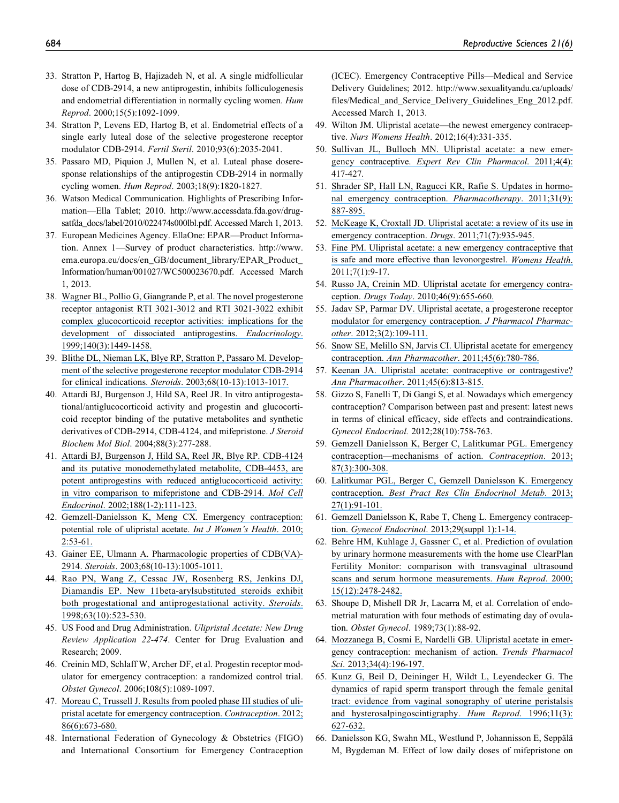- 33. Stratton P, Hartog B, Hajizadeh N, et al. A single midfollicular dose of CDB-2914, a new antiprogestin, inhibits folliculogenesis and endometrial differentiation in normally cycling women. Hum Reprod. 2000;15(5):1092-1099.
- 34. Stratton P, Levens ED, Hartog B, et al. Endometrial effects of a single early luteal dose of the selective progesterone receptor modulator CDB-2914. Fertil Steril. 2010;93(6):2035-2041.
- 35. Passaro MD, Piquion J, Mullen N, et al. Luteal phase doseresponse relationships of the antiprogestin CDB-2914 in normally cycling women. Hum Reprod. 2003;18(9):1820-1827.
- 36. Watson Medical Communication. Highlights of Prescribing Information—Ella Tablet; 2010. [http://www.accessdata.fda.gov/drug](http://www.accessdata.fda.gov/drugsatfda_docs/label/2010/022474s000lbl.pdf)[satfda\\_docs/label/2010/022474s000lbl.pdf.](http://www.accessdata.fda.gov/drugsatfda_docs/label/2010/022474s000lbl.pdf) Accessed March 1, 2013.
- 37. European Medicines Agency. EllaOne: EPAR—Product Information. Annex 1—Survey of product characteristics. [http://www.](http://www.ema.europa.eu/docs/en_GB/document_library/EPAR_Product_Information/human/001027/WC500023670.pdf) [ema.europa.eu/docs/en\\_GB/document\\_library/EPAR\\_Product\\_](http://www.ema.europa.eu/docs/en_GB/document_library/EPAR_Product_Information/human/001027/WC500023670.pdf) [Information/human/001027/WC500023670.pdf](http://www.ema.europa.eu/docs/en_GB/document_library/EPAR_Product_Information/human/001027/WC500023670.pdf). Accessed March 1, 2013.
- 38. [Wagner BL, Pollio G, Giangrande P, et al. The novel progesterone](https://www.researchgate.net/publication/13222628_The_novel_progesterone_receptor_antagonists_RTI_3021-012_and_RTI_3021-022_exhibit_complex_glucocorticoid_receptor_antagonist_activities_Implications_for_the_development_of_dissociated_antiprogestins?el=1_x_8&enrichId=rgreq-9294533ddc557a26d723c0fe72a52be4-XXX&enrichSource=Y292ZXJQYWdlOzI1OTgwNzM1NTtBUzoxNjM4NDg0NTE1MzQ4NDhAMTQxNjA3NTkyMzEyOA==) [receptor antagonist RTI 3021-3012 and RTI 3021-3022 exhibit](https://www.researchgate.net/publication/13222628_The_novel_progesterone_receptor_antagonists_RTI_3021-012_and_RTI_3021-022_exhibit_complex_glucocorticoid_receptor_antagonist_activities_Implications_for_the_development_of_dissociated_antiprogestins?el=1_x_8&enrichId=rgreq-9294533ddc557a26d723c0fe72a52be4-XXX&enrichSource=Y292ZXJQYWdlOzI1OTgwNzM1NTtBUzoxNjM4NDg0NTE1MzQ4NDhAMTQxNjA3NTkyMzEyOA==) [complex glucocorticoid receptor activities: implications for the](https://www.researchgate.net/publication/13222628_The_novel_progesterone_receptor_antagonists_RTI_3021-012_and_RTI_3021-022_exhibit_complex_glucocorticoid_receptor_antagonist_activities_Implications_for_the_development_of_dissociated_antiprogestins?el=1_x_8&enrichId=rgreq-9294533ddc557a26d723c0fe72a52be4-XXX&enrichSource=Y292ZXJQYWdlOzI1OTgwNzM1NTtBUzoxNjM4NDg0NTE1MzQ4NDhAMTQxNjA3NTkyMzEyOA==) [development of dissociated antiprogestins.](https://www.researchgate.net/publication/13222628_The_novel_progesterone_receptor_antagonists_RTI_3021-012_and_RTI_3021-022_exhibit_complex_glucocorticoid_receptor_antagonist_activities_Implications_for_the_development_of_dissociated_antiprogestins?el=1_x_8&enrichId=rgreq-9294533ddc557a26d723c0fe72a52be4-XXX&enrichSource=Y292ZXJQYWdlOzI1OTgwNzM1NTtBUzoxNjM4NDg0NTE1MzQ4NDhAMTQxNjA3NTkyMzEyOA==) Endocrinology. [1999;140\(3\):1449-1458.](https://www.researchgate.net/publication/13222628_The_novel_progesterone_receptor_antagonists_RTI_3021-012_and_RTI_3021-022_exhibit_complex_glucocorticoid_receptor_antagonist_activities_Implications_for_the_development_of_dissociated_antiprogestins?el=1_x_8&enrichId=rgreq-9294533ddc557a26d723c0fe72a52be4-XXX&enrichSource=Y292ZXJQYWdlOzI1OTgwNzM1NTtBUzoxNjM4NDg0NTE1MzQ4NDhAMTQxNjA3NTkyMzEyOA==)
- 39. [Blithe DL, Nieman LK, Blye RP, Stratton P, Passaro M. Develop](https://www.researchgate.net/publication/8966062_Development_of_the_selective_progesterone_receptor_modulator_CDB-2914_for_clinical_indications?el=1_x_8&enrichId=rgreq-9294533ddc557a26d723c0fe72a52be4-XXX&enrichSource=Y292ZXJQYWdlOzI1OTgwNzM1NTtBUzoxNjM4NDg0NTE1MzQ4NDhAMTQxNjA3NTkyMzEyOA==)[ment of the selective progesterone receptor modulator CDB-2914](https://www.researchgate.net/publication/8966062_Development_of_the_selective_progesterone_receptor_modulator_CDB-2914_for_clinical_indications?el=1_x_8&enrichId=rgreq-9294533ddc557a26d723c0fe72a52be4-XXX&enrichSource=Y292ZXJQYWdlOzI1OTgwNzM1NTtBUzoxNjM4NDg0NTE1MzQ4NDhAMTQxNjA3NTkyMzEyOA==) for clinical indications. Steroids[. 2003;68\(10-13\):1013-1017.](https://www.researchgate.net/publication/8966062_Development_of_the_selective_progesterone_receptor_modulator_CDB-2914_for_clinical_indications?el=1_x_8&enrichId=rgreq-9294533ddc557a26d723c0fe72a52be4-XXX&enrichSource=Y292ZXJQYWdlOzI1OTgwNzM1NTtBUzoxNjM4NDg0NTE1MzQ4NDhAMTQxNjA3NTkyMzEyOA==)
- 40. Attardi BJ, Burgenson J, Hild SA, Reel JR. In vitro antiprogestational/antiglucocorticoid activity and progestin and glucocorticoid receptor binding of the putative metabolites and synthetic derivatives of CDB-2914, CDB-4124, and mifepristone. *J Steroid* Biochem Mol Biol. 2004;88(3):277-288.
- 41. [Attardi BJ, Burgenson J, Hild SA, Reel JR, Blye RP. CDB-4124](https://www.researchgate.net/publication/11452407_CDB-4124_and_its_putative_monodemethylated_metabolite_CDB-4453_are_potent_antiprogestins_with_reduced_antiglucocorticoid_activity_In_vitro_comparison_to_mifepristone_and_CDB-2914?el=1_x_8&enrichId=rgreq-9294533ddc557a26d723c0fe72a52be4-XXX&enrichSource=Y292ZXJQYWdlOzI1OTgwNzM1NTtBUzoxNjM4NDg0NTE1MzQ4NDhAMTQxNjA3NTkyMzEyOA==) [and its putative monodemethylated metabolite, CDB-4453, are](https://www.researchgate.net/publication/11452407_CDB-4124_and_its_putative_monodemethylated_metabolite_CDB-4453_are_potent_antiprogestins_with_reduced_antiglucocorticoid_activity_In_vitro_comparison_to_mifepristone_and_CDB-2914?el=1_x_8&enrichId=rgreq-9294533ddc557a26d723c0fe72a52be4-XXX&enrichSource=Y292ZXJQYWdlOzI1OTgwNzM1NTtBUzoxNjM4NDg0NTE1MzQ4NDhAMTQxNjA3NTkyMzEyOA==) [potent antiprogestins with reduced antiglucocorticoid activity:](https://www.researchgate.net/publication/11452407_CDB-4124_and_its_putative_monodemethylated_metabolite_CDB-4453_are_potent_antiprogestins_with_reduced_antiglucocorticoid_activity_In_vitro_comparison_to_mifepristone_and_CDB-2914?el=1_x_8&enrichId=rgreq-9294533ddc557a26d723c0fe72a52be4-XXX&enrichSource=Y292ZXJQYWdlOzI1OTgwNzM1NTtBUzoxNjM4NDg0NTE1MzQ4NDhAMTQxNjA3NTkyMzEyOA==) [in vitro comparison to mifepristone and CDB-2914.](https://www.researchgate.net/publication/11452407_CDB-4124_and_its_putative_monodemethylated_metabolite_CDB-4453_are_potent_antiprogestins_with_reduced_antiglucocorticoid_activity_In_vitro_comparison_to_mifepristone_and_CDB-2914?el=1_x_8&enrichId=rgreq-9294533ddc557a26d723c0fe72a52be4-XXX&enrichSource=Y292ZXJQYWdlOzI1OTgwNzM1NTtBUzoxNjM4NDg0NTE1MzQ4NDhAMTQxNjA3NTkyMzEyOA==) Mol Cell Endocrinol[. 2002;188\(1-2\):111-123.](https://www.researchgate.net/publication/11452407_CDB-4124_and_its_putative_monodemethylated_metabolite_CDB-4453_are_potent_antiprogestins_with_reduced_antiglucocorticoid_activity_In_vitro_comparison_to_mifepristone_and_CDB-2914?el=1_x_8&enrichId=rgreq-9294533ddc557a26d723c0fe72a52be4-XXX&enrichSource=Y292ZXJQYWdlOzI1OTgwNzM1NTtBUzoxNjM4NDg0NTE1MzQ4NDhAMTQxNjA3NTkyMzEyOA==)
- 42. [Gemzell-Danielsson K, Meng CX. Emergency contraception:](https://www.researchgate.net/publication/47756201_Emergency_contraception_Potential_role_of_ulipristal_acetate?el=1_x_8&enrichId=rgreq-9294533ddc557a26d723c0fe72a52be4-XXX&enrichSource=Y292ZXJQYWdlOzI1OTgwNzM1NTtBUzoxNjM4NDg0NTE1MzQ4NDhAMTQxNjA3NTkyMzEyOA==) [potential role of ulipristal acetate.](https://www.researchgate.net/publication/47756201_Emergency_contraception_Potential_role_of_ulipristal_acetate?el=1_x_8&enrichId=rgreq-9294533ddc557a26d723c0fe72a52be4-XXX&enrichSource=Y292ZXJQYWdlOzI1OTgwNzM1NTtBUzoxNjM4NDg0NTE1MzQ4NDhAMTQxNjA3NTkyMzEyOA==) Int J Women's Health. 2010; [2:53-61.](https://www.researchgate.net/publication/47756201_Emergency_contraception_Potential_role_of_ulipristal_acetate?el=1_x_8&enrichId=rgreq-9294533ddc557a26d723c0fe72a52be4-XXX&enrichSource=Y292ZXJQYWdlOzI1OTgwNzM1NTtBUzoxNjM4NDg0NTE1MzQ4NDhAMTQxNjA3NTkyMzEyOA==)
- 43. [Gainer EE, Ulmann A. Pharmacologic properties of CDB\(VA\)-](https://www.researchgate.net/publication/8966061_Pharmacologic_properties_of_CDBVA-2914?el=1_x_8&enrichId=rgreq-9294533ddc557a26d723c0fe72a52be4-XXX&enrichSource=Y292ZXJQYWdlOzI1OTgwNzM1NTtBUzoxNjM4NDg0NTE1MzQ4NDhAMTQxNjA3NTkyMzEyOA==) 2914. Steroids[. 2003;68\(10-13\):1005-1011.](https://www.researchgate.net/publication/8966061_Pharmacologic_properties_of_CDBVA-2914?el=1_x_8&enrichId=rgreq-9294533ddc557a26d723c0fe72a52be4-XXX&enrichSource=Y292ZXJQYWdlOzI1OTgwNzM1NTtBUzoxNjM4NDg0NTE1MzQ4NDhAMTQxNjA3NTkyMzEyOA==)
- 44. [Rao PN, Wang Z, Cessac JW, Rosenberg RS, Jenkins DJ,](https://www.researchgate.net/publication/13486766_New_11b-aryl-substituted_steroids_exhibit_both_progestational_and_antiprogestational_activity?el=1_x_8&enrichId=rgreq-9294533ddc557a26d723c0fe72a52be4-XXX&enrichSource=Y292ZXJQYWdlOzI1OTgwNzM1NTtBUzoxNjM4NDg0NTE1MzQ4NDhAMTQxNjA3NTkyMzEyOA==) [Diamandis EP. New 11beta-arylsubstituted steroids exhibit](https://www.researchgate.net/publication/13486766_New_11b-aryl-substituted_steroids_exhibit_both_progestational_and_antiprogestational_activity?el=1_x_8&enrichId=rgreq-9294533ddc557a26d723c0fe72a52be4-XXX&enrichSource=Y292ZXJQYWdlOzI1OTgwNzM1NTtBUzoxNjM4NDg0NTE1MzQ4NDhAMTQxNjA3NTkyMzEyOA==) [both progestational and antiprogestational activity.](https://www.researchgate.net/publication/13486766_New_11b-aryl-substituted_steroids_exhibit_both_progestational_and_antiprogestational_activity?el=1_x_8&enrichId=rgreq-9294533ddc557a26d723c0fe72a52be4-XXX&enrichSource=Y292ZXJQYWdlOzI1OTgwNzM1NTtBUzoxNjM4NDg0NTE1MzQ4NDhAMTQxNjA3NTkyMzEyOA==) Steroids. [1998;63\(10\):523-530.](https://www.researchgate.net/publication/13486766_New_11b-aryl-substituted_steroids_exhibit_both_progestational_and_antiprogestational_activity?el=1_x_8&enrichId=rgreq-9294533ddc557a26d723c0fe72a52be4-XXX&enrichSource=Y292ZXJQYWdlOzI1OTgwNzM1NTtBUzoxNjM4NDg0NTE1MzQ4NDhAMTQxNjA3NTkyMzEyOA==)
- 45. US Food and Drug Administration. Ulipristal Acetate: New Drug Review Application 22-474. Center for Drug Evaluation and Research; 2009.
- 46. Creinin MD, Schlaff W, Archer DF, et al. Progestin receptor modulator for emergency contraception: a randomized control trial. Obstet Gynecol. 2006;108(5):1089-1097.
- 47. [Moreau C, Trussell J. Results from pooled phase III studies of uli](https://www.researchgate.net/publication/228440272_Results_from_pooled_Phase_III_studies_of_ulipristal_acetate_for_emergency_contraception?el=1_x_8&enrichId=rgreq-9294533ddc557a26d723c0fe72a52be4-XXX&enrichSource=Y292ZXJQYWdlOzI1OTgwNzM1NTtBUzoxNjM4NDg0NTE1MzQ4NDhAMTQxNjA3NTkyMzEyOA==)[pristal acetate for emergency contraception.](https://www.researchgate.net/publication/228440272_Results_from_pooled_Phase_III_studies_of_ulipristal_acetate_for_emergency_contraception?el=1_x_8&enrichId=rgreq-9294533ddc557a26d723c0fe72a52be4-XXX&enrichSource=Y292ZXJQYWdlOzI1OTgwNzM1NTtBUzoxNjM4NDg0NTE1MzQ4NDhAMTQxNjA3NTkyMzEyOA==) Contraception. 2012; [86\(6\):673-680.](https://www.researchgate.net/publication/228440272_Results_from_pooled_Phase_III_studies_of_ulipristal_acetate_for_emergency_contraception?el=1_x_8&enrichId=rgreq-9294533ddc557a26d723c0fe72a52be4-XXX&enrichSource=Y292ZXJQYWdlOzI1OTgwNzM1NTtBUzoxNjM4NDg0NTE1MzQ4NDhAMTQxNjA3NTkyMzEyOA==)
- 48. International Federation of Gynecology & Obstetrics (FIGO) and International Consortium for Emergency Contraception

(ICEC). Emergency Contraceptive Pills—Medical and Service Delivery Guidelines; 2012. [http://www.sexualityandu.ca/uploads/](http://www.sexualityandu.ca/uploads/files/Medical_and_Service_Delivery_Guidelines_Eng_2012.pdf) [files/Medical\\_and\\_Service\\_Delivery\\_Guidelines\\_Eng\\_2012.pdf](http://www.sexualityandu.ca/uploads/files/Medical_and_Service_Delivery_Guidelines_Eng_2012.pdf). Accessed March 1, 2013.

- 49. Wilton JM. Ulipristal acetate—the newest emergency contraceptive. Nurs Womens Health. 2012;16(4):331-335.
- 50. [Sullivan JL, Bulloch MN. Ulipristal acetate: a new emer-](https://www.researchgate.net/publication/51828235_Ulipristal_acetate_A_new_emergency_contraceptive?el=1_x_8&enrichId=rgreq-9294533ddc557a26d723c0fe72a52be4-XXX&enrichSource=Y292ZXJQYWdlOzI1OTgwNzM1NTtBUzoxNjM4NDg0NTE1MzQ4NDhAMTQxNjA3NTkyMzEyOA==)gency contraceptive. [Expert Rev Clin Pharmacol](https://www.researchgate.net/publication/51828235_Ulipristal_acetate_A_new_emergency_contraceptive?el=1_x_8&enrichId=rgreq-9294533ddc557a26d723c0fe72a52be4-XXX&enrichSource=Y292ZXJQYWdlOzI1OTgwNzM1NTtBUzoxNjM4NDg0NTE1MzQ4NDhAMTQxNjA3NTkyMzEyOA==). 2011;4(4): [417-427.](https://www.researchgate.net/publication/51828235_Ulipristal_acetate_A_new_emergency_contraceptive?el=1_x_8&enrichId=rgreq-9294533ddc557a26d723c0fe72a52be4-XXX&enrichSource=Y292ZXJQYWdlOzI1OTgwNzM1NTtBUzoxNjM4NDg0NTE1MzQ4NDhAMTQxNjA3NTkyMzEyOA==)
- 51. [Shrader SP, Hall LN, Ragucci KR, Rafie S. Updates in hormo](https://www.researchgate.net/publication/51648066_Updates_in_Hormonal_Emergency_Contraception?el=1_x_8&enrichId=rgreq-9294533ddc557a26d723c0fe72a52be4-XXX&enrichSource=Y292ZXJQYWdlOzI1OTgwNzM1NTtBUzoxNjM4NDg0NTE1MzQ4NDhAMTQxNjA3NTkyMzEyOA==)[nal emergency contraception.](https://www.researchgate.net/publication/51648066_Updates_in_Hormonal_Emergency_Contraception?el=1_x_8&enrichId=rgreq-9294533ddc557a26d723c0fe72a52be4-XXX&enrichSource=Y292ZXJQYWdlOzI1OTgwNzM1NTtBUzoxNjM4NDg0NTE1MzQ4NDhAMTQxNjA3NTkyMzEyOA==) Pharmacotherapy. 2011;31(9): [887-895.](https://www.researchgate.net/publication/51648066_Updates_in_Hormonal_Emergency_Contraception?el=1_x_8&enrichId=rgreq-9294533ddc557a26d723c0fe72a52be4-XXX&enrichSource=Y292ZXJQYWdlOzI1OTgwNzM1NTtBUzoxNjM4NDg0NTE1MzQ4NDhAMTQxNjA3NTkyMzEyOA==)
- 52. [McKeage K, Croxtall JD. Ulipristal acetate: a review of its use in](https://www.researchgate.net/publication/51123026_Ulipristal_Acetate_A_Review_of_Its_Use_in_Emergency_Contraception?el=1_x_8&enrichId=rgreq-9294533ddc557a26d723c0fe72a52be4-XXX&enrichSource=Y292ZXJQYWdlOzI1OTgwNzM1NTtBUzoxNjM4NDg0NTE1MzQ4NDhAMTQxNjA3NTkyMzEyOA==) [emergency contraception.](https://www.researchgate.net/publication/51123026_Ulipristal_Acetate_A_Review_of_Its_Use_in_Emergency_Contraception?el=1_x_8&enrichId=rgreq-9294533ddc557a26d723c0fe72a52be4-XXX&enrichSource=Y292ZXJQYWdlOzI1OTgwNzM1NTtBUzoxNjM4NDg0NTE1MzQ4NDhAMTQxNjA3NTkyMzEyOA==) Drugs. 2011;71(7):935-945.
- 53. [Fine PM. Ulipristal acetate: a new emergency contraceptive that](https://www.researchgate.net/publication/49699691_Ulipristal_acetate_A_new_emergency_contraceptive_that_is_safe_and_more_effective_than_levonorgestrel?el=1_x_8&enrichId=rgreq-9294533ddc557a26d723c0fe72a52be4-XXX&enrichSource=Y292ZXJQYWdlOzI1OTgwNzM1NTtBUzoxNjM4NDg0NTE1MzQ4NDhAMTQxNjA3NTkyMzEyOA==) [is safe and more effective than levonorgestrel.](https://www.researchgate.net/publication/49699691_Ulipristal_acetate_A_new_emergency_contraceptive_that_is_safe_and_more_effective_than_levonorgestrel?el=1_x_8&enrichId=rgreq-9294533ddc557a26d723c0fe72a52be4-XXX&enrichSource=Y292ZXJQYWdlOzI1OTgwNzM1NTtBUzoxNjM4NDg0NTE1MzQ4NDhAMTQxNjA3NTkyMzEyOA==) Womens Health. [2011;7\(1\):9-17.](https://www.researchgate.net/publication/49699691_Ulipristal_acetate_A_new_emergency_contraceptive_that_is_safe_and_more_effective_than_levonorgestrel?el=1_x_8&enrichId=rgreq-9294533ddc557a26d723c0fe72a52be4-XXX&enrichSource=Y292ZXJQYWdlOzI1OTgwNzM1NTtBUzoxNjM4NDg0NTE1MzQ4NDhAMTQxNjA3NTkyMzEyOA==)
- 54. [Russo JA, Creinin MD. Ulipristal acetate for emergency contra](https://www.researchgate.net/publication/47520976_Ulipristal_acetate_for_emergency_contraception?el=1_x_8&enrichId=rgreq-9294533ddc557a26d723c0fe72a52be4-XXX&enrichSource=Y292ZXJQYWdlOzI1OTgwNzM1NTtBUzoxNjM4NDg0NTE1MzQ4NDhAMTQxNjA3NTkyMzEyOA==)ception. Drugs Today[. 2010;46\(9\):655-660.](https://www.researchgate.net/publication/47520976_Ulipristal_acetate_for_emergency_contraception?el=1_x_8&enrichId=rgreq-9294533ddc557a26d723c0fe72a52be4-XXX&enrichSource=Y292ZXJQYWdlOzI1OTgwNzM1NTtBUzoxNjM4NDg0NTE1MzQ4NDhAMTQxNjA3NTkyMzEyOA==)
- 55. [Jadav SP, Parmar DV. Ulipristal acetate, a progesterone receptor](https://www.researchgate.net/publication/225045100_Ulipristal_acetate_a_progesterone_receptor_modulator_for_emergency_contraception?el=1_x_8&enrichId=rgreq-9294533ddc557a26d723c0fe72a52be4-XXX&enrichSource=Y292ZXJQYWdlOzI1OTgwNzM1NTtBUzoxNjM4NDg0NTE1MzQ4NDhAMTQxNjA3NTkyMzEyOA==) [modulator for emergency contraception.](https://www.researchgate.net/publication/225045100_Ulipristal_acetate_a_progesterone_receptor_modulator_for_emergency_contraception?el=1_x_8&enrichId=rgreq-9294533ddc557a26d723c0fe72a52be4-XXX&enrichSource=Y292ZXJQYWdlOzI1OTgwNzM1NTtBUzoxNjM4NDg0NTE1MzQ4NDhAMTQxNjA3NTkyMzEyOA==) J Pharmacol Pharmacother[. 2012;3\(2\):109-111.](https://www.researchgate.net/publication/225045100_Ulipristal_acetate_a_progesterone_receptor_modulator_for_emergency_contraception?el=1_x_8&enrichId=rgreq-9294533ddc557a26d723c0fe72a52be4-XXX&enrichSource=Y292ZXJQYWdlOzI1OTgwNzM1NTtBUzoxNjM4NDg0NTE1MzQ4NDhAMTQxNjA3NTkyMzEyOA==)
- 56. [Snow SE, Melillo SN, Jarvis CI. Ulipristal acetate for emergency](https://www.researchgate.net/publication/51212466_Ulipristal_Acetate_for_Emergency_Contraception?el=1_x_8&enrichId=rgreq-9294533ddc557a26d723c0fe72a52be4-XXX&enrichSource=Y292ZXJQYWdlOzI1OTgwNzM1NTtBUzoxNjM4NDg0NTE1MzQ4NDhAMTQxNjA3NTkyMzEyOA==) contraception. Ann Pharmacother[. 2011;45\(6\):780-786.](https://www.researchgate.net/publication/51212466_Ulipristal_Acetate_for_Emergency_Contraception?el=1_x_8&enrichId=rgreq-9294533ddc557a26d723c0fe72a52be4-XXX&enrichSource=Y292ZXJQYWdlOzI1OTgwNzM1NTtBUzoxNjM4NDg0NTE1MzQ4NDhAMTQxNjA3NTkyMzEyOA==)
- 57. [Keenan JA. Ulipristal acetate: contraceptive or contragestive?](https://www.researchgate.net/publication/51212465_Ulipristal_Acetate_Contraceptive_or_Contragestive?el=1_x_8&enrichId=rgreq-9294533ddc557a26d723c0fe72a52be4-XXX&enrichSource=Y292ZXJQYWdlOzI1OTgwNzM1NTtBUzoxNjM4NDg0NTE1MzQ4NDhAMTQxNjA3NTkyMzEyOA==) Ann Pharmacother[. 2011;45\(6\):813-815.](https://www.researchgate.net/publication/51212465_Ulipristal_Acetate_Contraceptive_or_Contragestive?el=1_x_8&enrichId=rgreq-9294533ddc557a26d723c0fe72a52be4-XXX&enrichSource=Y292ZXJQYWdlOzI1OTgwNzM1NTtBUzoxNjM4NDg0NTE1MzQ4NDhAMTQxNjA3NTkyMzEyOA==)
- 58. Gizzo S, Fanelli T, Di Gangi S, et al. Nowadays which emergency contraception? Comparison between past and present: latest news in terms of clinical efficacy, side effects and contraindications. Gynecol Endocrinol. 2012;28(10):758-763.
- 59. [Gemzell Danielsson K, Berger C, Lalitkumar PGL. Emergency](https://www.researchgate.net/publication/232745506_Emergency_contraception_-_Mechanisms_of_action?el=1_x_8&enrichId=rgreq-9294533ddc557a26d723c0fe72a52be4-XXX&enrichSource=Y292ZXJQYWdlOzI1OTgwNzM1NTtBUzoxNjM4NDg0NTE1MzQ4NDhAMTQxNjA3NTkyMzEyOA==) [contraception—mechanisms of action.](https://www.researchgate.net/publication/232745506_Emergency_contraception_-_Mechanisms_of_action?el=1_x_8&enrichId=rgreq-9294533ddc557a26d723c0fe72a52be4-XXX&enrichSource=Y292ZXJQYWdlOzI1OTgwNzM1NTtBUzoxNjM4NDg0NTE1MzQ4NDhAMTQxNjA3NTkyMzEyOA==) Contraception. 2013; [87\(3\):300-308.](https://www.researchgate.net/publication/232745506_Emergency_contraception_-_Mechanisms_of_action?el=1_x_8&enrichId=rgreq-9294533ddc557a26d723c0fe72a52be4-XXX&enrichSource=Y292ZXJQYWdlOzI1OTgwNzM1NTtBUzoxNjM4NDg0NTE1MzQ4NDhAMTQxNjA3NTkyMzEyOA==)
- 60. [Lalitkumar PGL, Berger C, Gemzell Danielsson K. Emergency](https://www.researchgate.net/publication/235404639_Emergency_contraception?el=1_x_8&enrichId=rgreq-9294533ddc557a26d723c0fe72a52be4-XXX&enrichSource=Y292ZXJQYWdlOzI1OTgwNzM1NTtBUzoxNjM4NDg0NTE1MzQ4NDhAMTQxNjA3NTkyMzEyOA==) contraception. [Best Pract Res Clin Endocrinol Metab](https://www.researchgate.net/publication/235404639_Emergency_contraception?el=1_x_8&enrichId=rgreq-9294533ddc557a26d723c0fe72a52be4-XXX&enrichSource=Y292ZXJQYWdlOzI1OTgwNzM1NTtBUzoxNjM4NDg0NTE1MzQ4NDhAMTQxNjA3NTkyMzEyOA==). 2013; [27\(1\):91-101.](https://www.researchgate.net/publication/235404639_Emergency_contraception?el=1_x_8&enrichId=rgreq-9294533ddc557a26d723c0fe72a52be4-XXX&enrichSource=Y292ZXJQYWdlOzI1OTgwNzM1NTtBUzoxNjM4NDg0NTE1MzQ4NDhAMTQxNjA3NTkyMzEyOA==)
- 61. [Gemzell Danielsson K, Rabe T, Cheng L. Emergency contracep](https://www.researchgate.net/publication/262042270_Emergency_Contraception?el=1_x_8&enrichId=rgreq-9294533ddc557a26d723c0fe72a52be4-XXX&enrichSource=Y292ZXJQYWdlOzI1OTgwNzM1NTtBUzoxNjM4NDg0NTE1MzQ4NDhAMTQxNjA3NTkyMzEyOA==)tion. Gynecol Endocrinol[. 2013;29\(suppl 1\):1-14.](https://www.researchgate.net/publication/262042270_Emergency_Contraception?el=1_x_8&enrichId=rgreq-9294533ddc557a26d723c0fe72a52be4-XXX&enrichSource=Y292ZXJQYWdlOzI1OTgwNzM1NTtBUzoxNjM4NDg0NTE1MzQ4NDhAMTQxNjA3NTkyMzEyOA==)
- 62. [Behre HM, Kuhlage J, Gassner C, et al. Prediction of ovulation](https://www.researchgate.net/publication/12229933_Prediction_of_ovulation_by_urinary_hormone_measurements_with_the_home_use_ClearPlanR_Fertility_Monitor_Comparison_with_transvaginal_ultrasound_scans_and_serum_hormone_measurements?el=1_x_8&enrichId=rgreq-9294533ddc557a26d723c0fe72a52be4-XXX&enrichSource=Y292ZXJQYWdlOzI1OTgwNzM1NTtBUzoxNjM4NDg0NTE1MzQ4NDhAMTQxNjA3NTkyMzEyOA==) [by urinary hormone measurements with the home use ClearPlan](https://www.researchgate.net/publication/12229933_Prediction_of_ovulation_by_urinary_hormone_measurements_with_the_home_use_ClearPlanR_Fertility_Monitor_Comparison_with_transvaginal_ultrasound_scans_and_serum_hormone_measurements?el=1_x_8&enrichId=rgreq-9294533ddc557a26d723c0fe72a52be4-XXX&enrichSource=Y292ZXJQYWdlOzI1OTgwNzM1NTtBUzoxNjM4NDg0NTE1MzQ4NDhAMTQxNjA3NTkyMzEyOA==) [Fertility Monitor: comparison with transvaginal ultrasound](https://www.researchgate.net/publication/12229933_Prediction_of_ovulation_by_urinary_hormone_measurements_with_the_home_use_ClearPlanR_Fertility_Monitor_Comparison_with_transvaginal_ultrasound_scans_and_serum_hormone_measurements?el=1_x_8&enrichId=rgreq-9294533ddc557a26d723c0fe72a52be4-XXX&enrichSource=Y292ZXJQYWdlOzI1OTgwNzM1NTtBUzoxNjM4NDg0NTE1MzQ4NDhAMTQxNjA3NTkyMzEyOA==) [scans and serum hormone measurements.](https://www.researchgate.net/publication/12229933_Prediction_of_ovulation_by_urinary_hormone_measurements_with_the_home_use_ClearPlanR_Fertility_Monitor_Comparison_with_transvaginal_ultrasound_scans_and_serum_hormone_measurements?el=1_x_8&enrichId=rgreq-9294533ddc557a26d723c0fe72a52be4-XXX&enrichSource=Y292ZXJQYWdlOzI1OTgwNzM1NTtBUzoxNjM4NDg0NTE1MzQ4NDhAMTQxNjA3NTkyMzEyOA==) Hum Reprod. 2000; [15\(12\):2478-2482.](https://www.researchgate.net/publication/12229933_Prediction_of_ovulation_by_urinary_hormone_measurements_with_the_home_use_ClearPlanR_Fertility_Monitor_Comparison_with_transvaginal_ultrasound_scans_and_serum_hormone_measurements?el=1_x_8&enrichId=rgreq-9294533ddc557a26d723c0fe72a52be4-XXX&enrichSource=Y292ZXJQYWdlOzI1OTgwNzM1NTtBUzoxNjM4NDg0NTE1MzQ4NDhAMTQxNjA3NTkyMzEyOA==)
- 63. Shoupe D, Mishell DR Jr, Lacarra M, et al. Correlation of endometrial maturation with four methods of estimating day of ovulation. Obstet Gynecol. 1989;73(1):88-92.
- 64. [Mozzanega B, Cosmi E, Nardelli GB. Ulipristal acetate in emer](https://www.researchgate.net/publication/236045944_Ulipristal_acetate_in_emergency_contraception_Mechanism_of_action?el=1_x_8&enrichId=rgreq-9294533ddc557a26d723c0fe72a52be4-XXX&enrichSource=Y292ZXJQYWdlOzI1OTgwNzM1NTtBUzoxNjM4NDg0NTE1MzQ4NDhAMTQxNjA3NTkyMzEyOA==)[gency contraception: mechanism of action.](https://www.researchgate.net/publication/236045944_Ulipristal_acetate_in_emergency_contraception_Mechanism_of_action?el=1_x_8&enrichId=rgreq-9294533ddc557a26d723c0fe72a52be4-XXX&enrichSource=Y292ZXJQYWdlOzI1OTgwNzM1NTtBUzoxNjM4NDg0NTE1MzQ4NDhAMTQxNjA3NTkyMzEyOA==) Trends Pharmacol Sci[. 2013;34\(4\):196-197.](https://www.researchgate.net/publication/236045944_Ulipristal_acetate_in_emergency_contraception_Mechanism_of_action?el=1_x_8&enrichId=rgreq-9294533ddc557a26d723c0fe72a52be4-XXX&enrichSource=Y292ZXJQYWdlOzI1OTgwNzM1NTtBUzoxNjM4NDg0NTE1MzQ4NDhAMTQxNjA3NTkyMzEyOA==)
- 65. [Kunz G, Beil D, Deininger H, Wildt L, Leyendecker G. The](https://www.researchgate.net/publication/14530651_The_dynamics_of_rapid_sperm_transport_through_the_female_genital_tract_Evidence_from_vaginal_sonography_of_uterine_peristalsis_and_hysterosalpingoscintigraphy?el=1_x_8&enrichId=rgreq-9294533ddc557a26d723c0fe72a52be4-XXX&enrichSource=Y292ZXJQYWdlOzI1OTgwNzM1NTtBUzoxNjM4NDg0NTE1MzQ4NDhAMTQxNjA3NTkyMzEyOA==) [dynamics of rapid sperm transport through the female genital](https://www.researchgate.net/publication/14530651_The_dynamics_of_rapid_sperm_transport_through_the_female_genital_tract_Evidence_from_vaginal_sonography_of_uterine_peristalsis_and_hysterosalpingoscintigraphy?el=1_x_8&enrichId=rgreq-9294533ddc557a26d723c0fe72a52be4-XXX&enrichSource=Y292ZXJQYWdlOzI1OTgwNzM1NTtBUzoxNjM4NDg0NTE1MzQ4NDhAMTQxNjA3NTkyMzEyOA==) [tract: evidence from vaginal sonography of uterine peristalsis](https://www.researchgate.net/publication/14530651_The_dynamics_of_rapid_sperm_transport_through_the_female_genital_tract_Evidence_from_vaginal_sonography_of_uterine_peristalsis_and_hysterosalpingoscintigraphy?el=1_x_8&enrichId=rgreq-9294533ddc557a26d723c0fe72a52be4-XXX&enrichSource=Y292ZXJQYWdlOzI1OTgwNzM1NTtBUzoxNjM4NDg0NTE1MzQ4NDhAMTQxNjA3NTkyMzEyOA==) [and hysterosalpingoscintigraphy.](https://www.researchgate.net/publication/14530651_The_dynamics_of_rapid_sperm_transport_through_the_female_genital_tract_Evidence_from_vaginal_sonography_of_uterine_peristalsis_and_hysterosalpingoscintigraphy?el=1_x_8&enrichId=rgreq-9294533ddc557a26d723c0fe72a52be4-XXX&enrichSource=Y292ZXJQYWdlOzI1OTgwNzM1NTtBUzoxNjM4NDg0NTE1MzQ4NDhAMTQxNjA3NTkyMzEyOA==) Hum Reprod. 1996;11(3): [627-632.](https://www.researchgate.net/publication/14530651_The_dynamics_of_rapid_sperm_transport_through_the_female_genital_tract_Evidence_from_vaginal_sonography_of_uterine_peristalsis_and_hysterosalpingoscintigraphy?el=1_x_8&enrichId=rgreq-9294533ddc557a26d723c0fe72a52be4-XXX&enrichSource=Y292ZXJQYWdlOzI1OTgwNzM1NTtBUzoxNjM4NDg0NTE1MzQ4NDhAMTQxNjA3NTkyMzEyOA==)
- 66. Danielsson KG, Swahn ML, Westlund P, Johannisson E, Seppälä M, Bygdeman M. Effect of low daily doses of mifepristone on